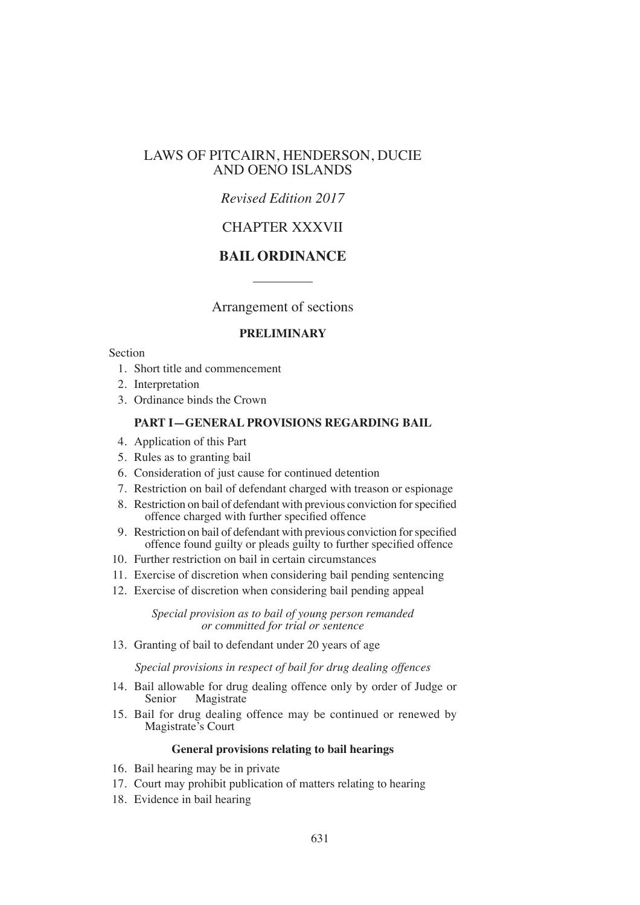# LAWS OF PITCAIRN, HENDERSON, DUCIE AND OENO ISLANDS

# *Revised Edition 2017*

# CHAPTER XXXVII

## **BAIL ORDINANCE**

## Arrangement of sections

#### **PRELIMINARY**

#### Section

- 1. Short title and commencement
- 2. Interpretation
- 3. Ordinance binds the Crown

## **PART I—GENERAL PROVISIONS REGARDING BAIL**

- 4. Application of this Part
- 5. Rules as to granting bail
- 6. Consideration of just cause for continued detention
- 7. Restriction on bail of defendant charged with treason or espionage
- 8. Restriction on bail of defendant with previous conviction for specified offence charged with further specified offence
- 9. Restriction on bail of defendant with previous conviction for specified offence found guilty or pleads guilty to further specified offence
- 10. Further restriction on bail in certain circumstances
- 11. Exercise of discretion when considering bail pending sentencing
- 12. Exercise of discretion when considering bail pending appeal

*Special provision as to bail of young person remanded or committed for trial or sentence* 

13. Granting of bail to defendant under 20 years of age

*Special provisions in respect of bail for drug dealing offences*

- 14. Bail allowable for drug dealing offence only by order of Judge or Senior Magistrate
- 15. Bail for drug dealing offence may be continued or renewed by Magistrate's Court

## **General provisions relating to bail hearings**

- 16. Bail hearing may be in private
- 17. Court may prohibit publication of matters relating to hearing
- 18. Evidence in bail hearing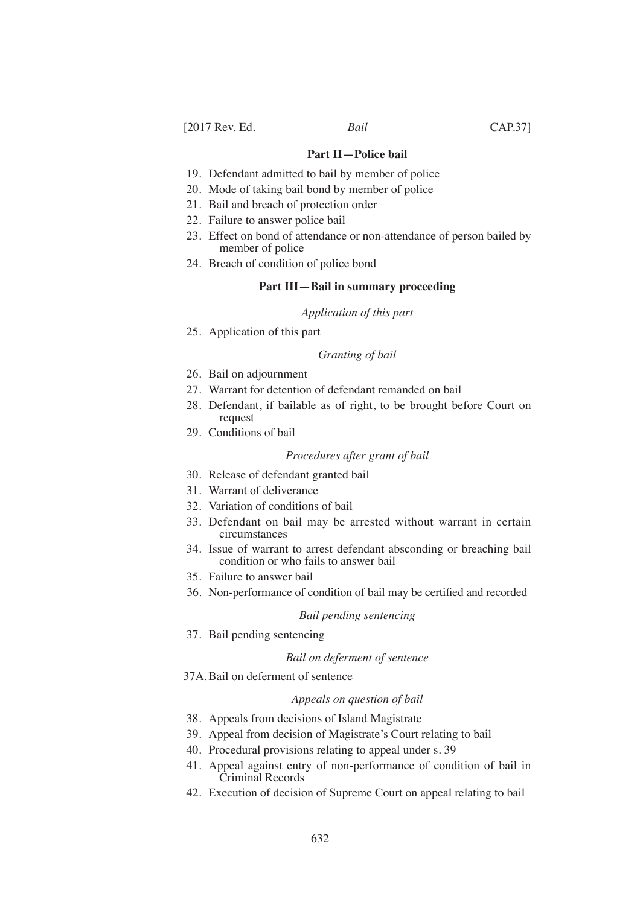#### **Part II—Police bail**

- 19. Defendant admitted to bail by member of police
- 20. Mode of taking bail bond by member of police
- 21. Bail and breach of protection order
- 22. Failure to answer police bail
- 23. Effect on bond of attendance or non-attendance of person bailed by member of police
- 24. Breach of condition of police bond

#### **Part III—Bail in summary proceeding**

#### *Application of this part*

25. Application of this part

#### *Granting of bail*

- 26. Bail on adjournment
- 27. Warrant for detention of defendant remanded on bail
- 28. Defendant, if bailable as of right, to be brought before Court on request
- 29. Conditions of bail

#### *Procedures after grant of bail*

- 30. Release of defendant granted bail
- 31. Warrant of deliverance
- 32. Variation of conditions of bail
- 33. Defendant on bail may be arrested without warrant in certain circumstances
- 34. Issue of warrant to arrest defendant absconding or breaching bail condition or who fails to answer bail
- 35. Failure to answer bail
- 36. Non-performance of condition of bail may be certified and recorded

#### *Bail pending sentencing*

37. Bail pending sentencing

## *Bail on deferment of sentence*

37A.Bail on deferment of sentence

#### *Appeals on question of bail*

- 38. Appeals from decisions of Island Magistrate
- 39. Appeal from decision of Magistrate's Court relating to bail
- 40. Procedural provisions relating to appeal under s. 39
- 41. Appeal against entry of non-performance of condition of bail in Criminal Records
- 42. Execution of decision of Supreme Court on appeal relating to bail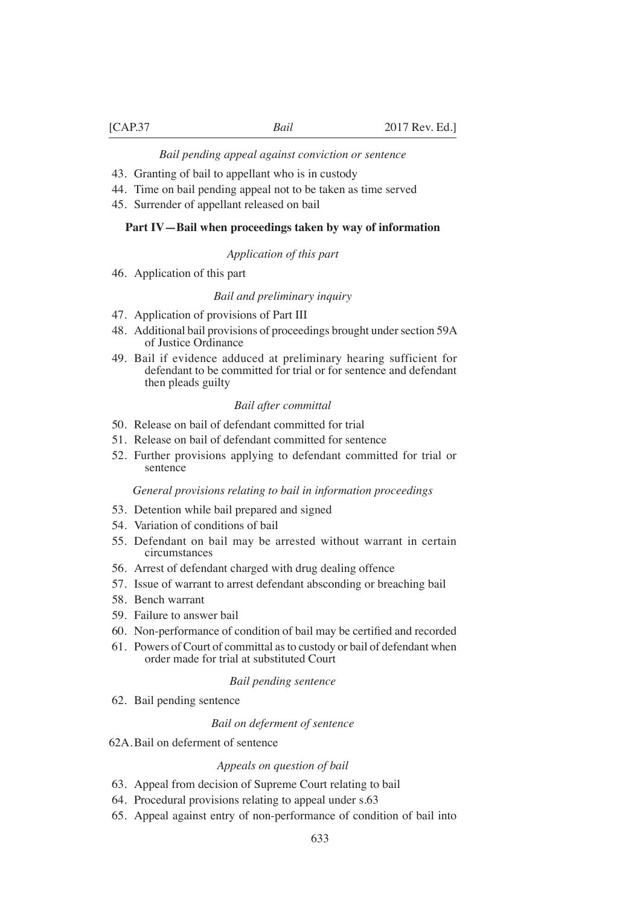#### *Bail pending appeal against conviction or sentence*

- 43. Granting of bail to appellant who is in custody
- 44. Time on bail pending appeal not to be taken as time served
- 45. Surrender of appellant released on bail

#### **Part IV—Bail when proceedings taken by way of information**

## *Application of this part*

46. Application of this part

#### *Bail and preliminary inquiry*

- 47. Application of provisions of Part III
- 48. Additional bail provisions of proceedings brought under section 59A of Justice Ordinance
- 49. Bail if evidence adduced at preliminary hearing sufficient for defendant to be committed for trial or for sentence and defendant then pleads guilty

#### *Bail after committal*

- 50. Release on bail of defendant committed for trial
- 51. Release on bail of defendant committed for sentence
- 52. Further provisions applying to defendant committed for trial or sentence

#### *General provisions relating to bail in information proceedings*

- 53. Detention while bail prepared and signed
- 54. Variation of conditions of bail
- 55. Defendant on bail may be arrested without warrant in certain circumstances
- 56. Arrest of defendant charged with drug dealing offence
- 57. Issue of warrant to arrest defendant absconding or breaching bail
- 58. Bench warrant
- 59. Failure to answer bail
- 60. Non-performance of condition of bail may be certified and recorded
- 61. Powers of Court of committal as to custody or bail of defendant when order made for trial at substituted Court

#### *Bail pending sentence*

62. Bail pending sentence

#### *Bail on deferment of sentence*

62A.Bail on deferment of sentence

#### *Appeals on question of bail*

- 63. Appeal from decision of Supreme Court relating to bail
- 64. Procedural provisions relating to appeal under s.63
- 65. Appeal against entry of non-performance of condition of bail into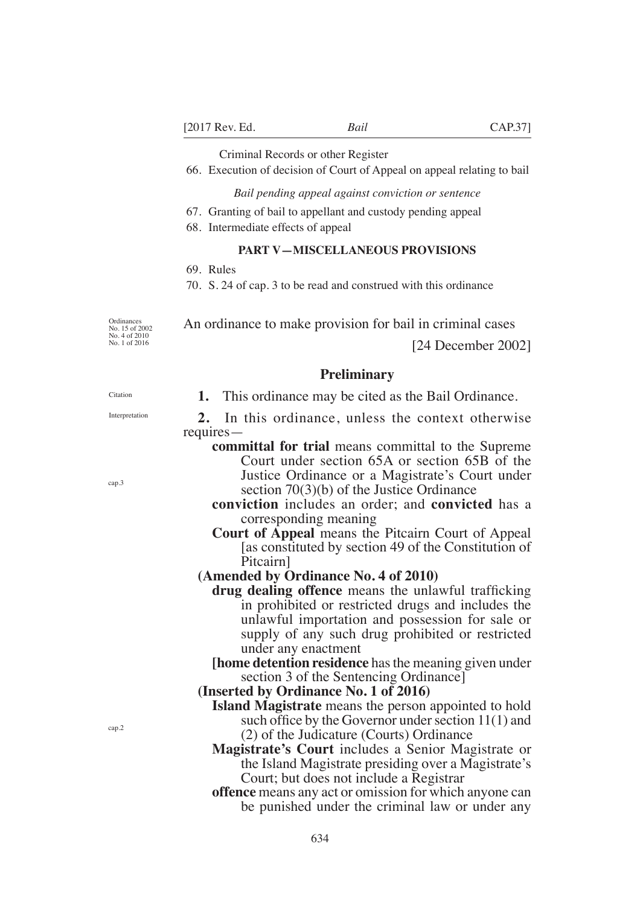Criminal Records or other Register

66. Execution of decision of Court of Appeal on appeal relating to bail

*Bail pending appeal against conviction or sentence*

- 67. Granting of bail to appellant and custody pending appeal
- 68. Intermediate effects of appeal

#### **PART V—MISCELLANEOUS PROVISIONS**

69. Rules

requires—

70. S. 24 of cap. 3 to be read and construed with this ordinance

Ordinances No. 15 of 2002 No. 4 of 2010 No. 1 of 2016

An ordinance to make provision for bail in criminal cases

[24 December 2002]

# **Preliminary 1.** This ordinance may be cited as the Bail Ordinance.

**2.** In this ordinance, unless the context otherwise

Citation

Interpretation

cap.3

cap.2

- **committal for trial** means committal to the Supreme Court under section 65A or section 65B of the Justice Ordinance or a Magistrate's Court under section 70(3)(b) of the Justice Ordinance
- **conviction** includes an order; and **convicted** has a corresponding meaning
- **Court of Appeal** means the Pitcairn Court of Appeal [as constituted by section 49 of the Constitution of Pitcairn]

#### **(Amended by Ordinance No. 4 of 2010)**

**drug dealing offence** means the unlawful trafficking in prohibited or restricted drugs and includes the unlawful importation and possession for sale or supply of any such drug prohibited or restricted under any enactment

**[home detention residence** has the meaning given under section 3 of the Sentencing Ordinance]

## **(Inserted by Ordinance No. 1 of 2016)**

- **Island Magistrate** means the person appointed to hold such office by the Governor under section  $11(1)$  and (2) of the Judicature (Courts) Ordinance
- **Magistrate's Court** includes a Senior Magistrate or the Island Magistrate presiding over a Magistrate's Court; but does not include a Registrar
- **offence** means any act or omission for which anyone can be punished under the criminal law or under any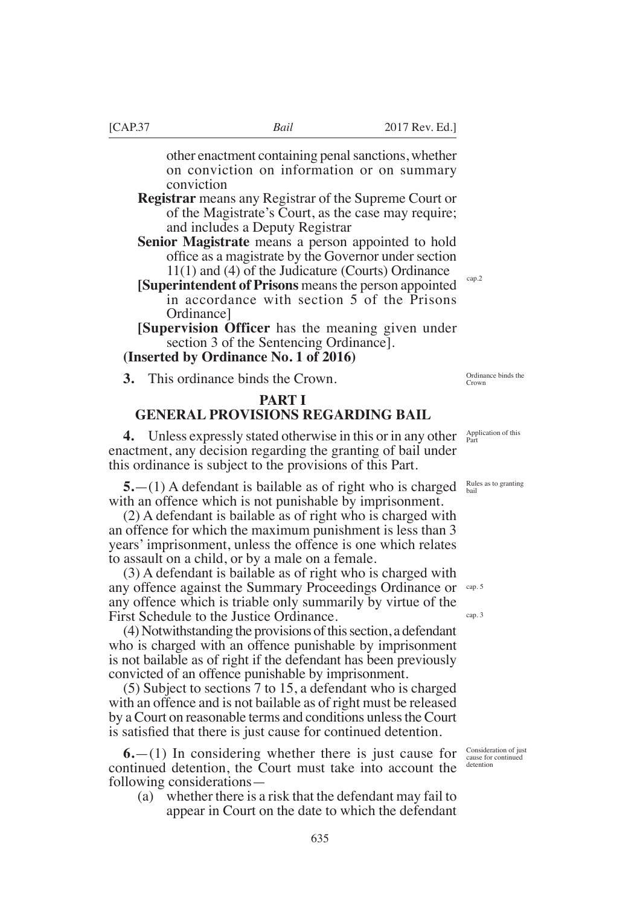other enactment containing penal sanctions, whether on conviction on information or on summary conviction

- **Registrar** means any Registrar of the Supreme Court or of the Magistrate's Court, as the case may require; and includes a Deputy Registrar
- **Senior Magistrate** means a person appointed to hold office as a magistrate by the Governor under section 11(1) and (4) of the Judicature (Courts) Ordinance
- **[Superintendent of Prisons** means the person appointed in accordance with section 5 of the Prisons Ordinance]

**[Supervision Officer** has the meaning given under section 3 of the Sentencing Ordinance].

## **(Inserted by Ordinance No. 1 of 2016)**

**3.** This ordinance binds the Crown.

## **PART I GENERAL PROVISIONS REGARDING BAIL**

**4.** Unless expressly stated otherwise in this or in any other  $P_{\text{part}}^{\text{Application of this}}$ enactment, any decision regarding the granting of bail under this ordinance is subject to the provisions of this Part.

**5.**—(1) A defendant is bailable as of right who is charged with an offence which is not punishable by imprisonment.

(2) A defendant is bailable as of right who is charged with an offence for which the maximum punishment is less than 3 years' imprisonment, unless the offence is one which relates to assault on a child, or by a male on a female.

(3) A defendant is bailable as of right who is charged with any offence against the Summary Proceedings Ordinance or any offence which is triable only summarily by virtue of the First Schedule to the Justice Ordinance. cap. 5 cap. 3

(4) Notwithstanding the provisions of this section, a defendant who is charged with an offence punishable by imprisonment is not bailable as of right if the defendant has been previously convicted of an offence punishable by imprisonment.

(5) Subject to sections 7 to 15, a defendant who is charged with an offence and is not bailable as of right must be released by a Court on reasonable terms and conditions unless the Court is satisfied that there is just cause for continued detention.

**6.**—(1) In considering whether there is just cause for continued detention, the Court must take into account the following considerations—

(a) whether there is a risk that the defendant may fail to appear in Court on the date to which the defendant

Ordinance binds the Crown

Rules as to granting bail

Consideration of just cause for continued detention

cap.2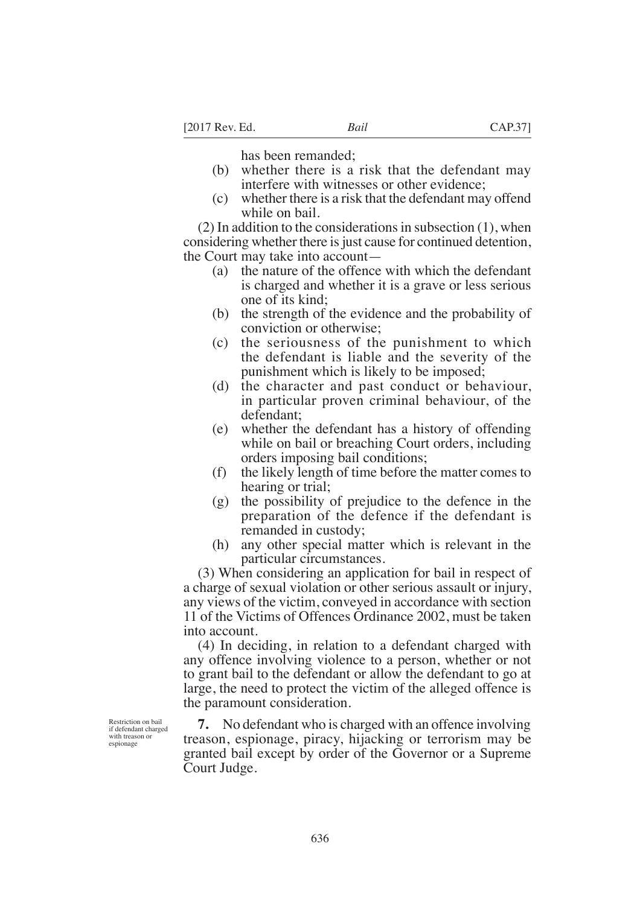has been remanded;

- (b) whether there is a risk that the defendant may interfere with witnesses or other evidence;
- (c) whether there is a risk that the defendant may offend while on bail.

(2) In addition to the considerations in subsection (1), when considering whether there is just cause for continued detention, the Court may take into account—

- (a) the nature of the offence with which the defendant is charged and whether it is a grave or less serious one of its kind;
- (b) the strength of the evidence and the probability of conviction or otherwise;
- (c) the seriousness of the punishment to which the defendant is liable and the severity of the punishment which is likely to be imposed;
- (d) the character and past conduct or behaviour, in particular proven criminal behaviour, of the defendant;
- (e) whether the defendant has a history of offending while on bail or breaching Court orders, including orders imposing bail conditions;
- (f) the likely length of time before the matter comes to hearing or trial;
- (g) the possibility of prejudice to the defence in the preparation of the defence if the defendant is remanded in custody;
- (h) any other special matter which is relevant in the particular circumstances.

(3) When considering an application for bail in respect of a charge of sexual violation or other serious assault or injury, any views of the victim, conveyed in accordance with section 11 of the Victims of Offences Ordinance 2002, must be taken into account.

(4) In deciding, in relation to a defendant charged with any offence involving violence to a person, whether or not to grant bail to the defendant or allow the defendant to go at large, the need to protect the victim of the alleged offence is the paramount consideration.

**7.** No defendant who is charged with an offence involving treason, espionage, piracy, hijacking or terrorism may be granted bail except by order of the Governor or a Supreme Court Judge.

Restriction on bail if defendant charged with treason or espionage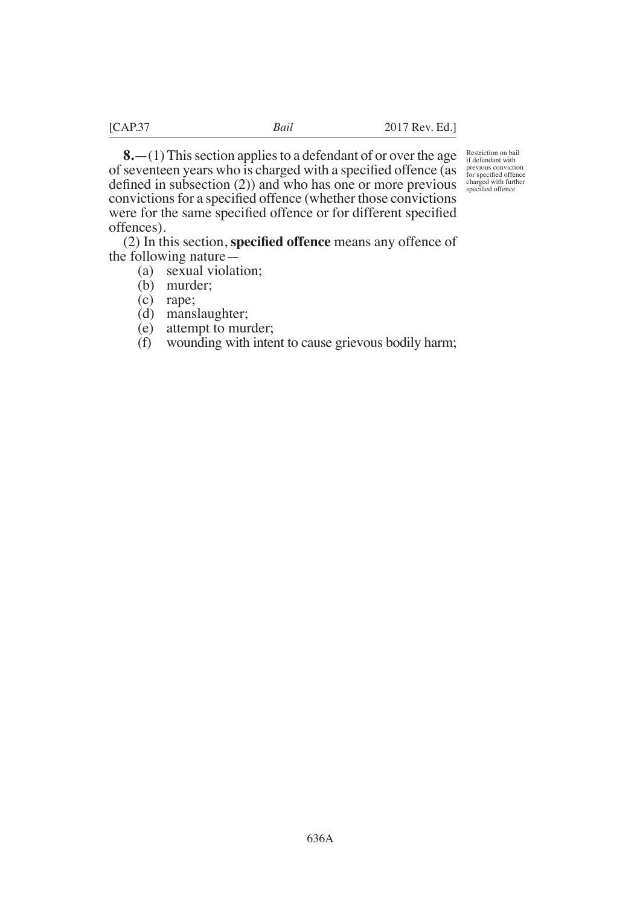**8.**—(1) This section applies to a defendant of or over the age of seventeen years who is charged with a specified offence (as defined in subsection  $(2)$ ) and who has one or more previous convictions for a specified offence (whether those convictions were for the same specified offence or for different specified offences).

(2) In this section, **specifed offence** means any offence of the following nature—

(a) sexual violation;

- (b) murder;
- (c) rape;
- (d) manslaughter;
- (e) attempt to murder;
- (f) wounding with intent to cause grievous bodily harm;

Restriction on bail if defendant with previous conviction for specifed offence charged with further specifed offence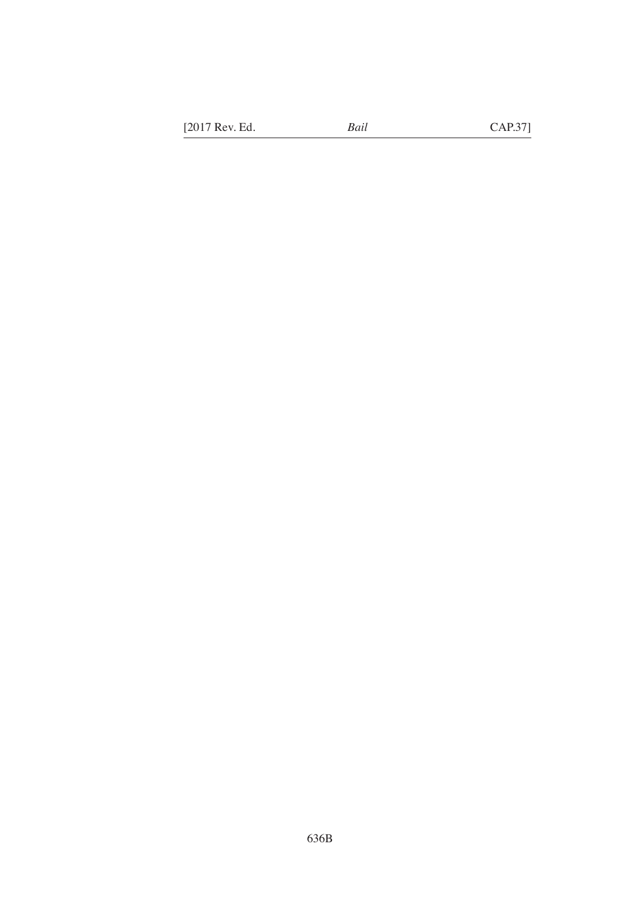[2017 Rev. Ed. *Bail* CAP.37]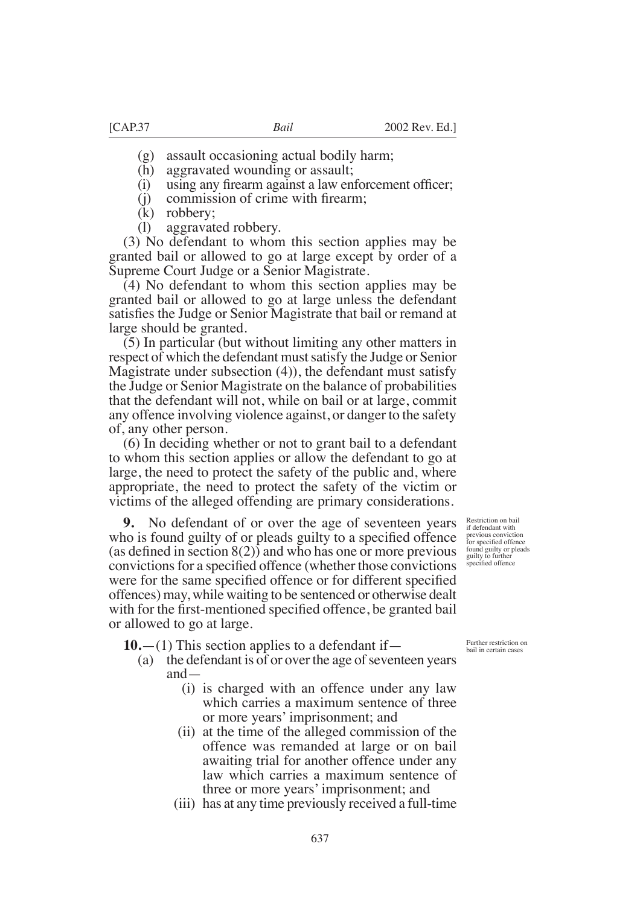- (g) assault occasioning actual bodily harm;
- (h) aggravated wounding or assault;
- $(i)$  using any firearm against a law enforcement officer;
- $(i)$  commission of crime with firearm;
- (k) robbery;
- (l) aggravated robbery.

(3) No defendant to whom this section applies may be granted bail or allowed to go at large except by order of a Supreme Court Judge or a Senior Magistrate.

(4) No defendant to whom this section applies may be granted bail or allowed to go at large unless the defendant satisfies the Judge or Senior Magistrate that bail or remand at large should be granted.

(5) In particular (but without limiting any other matters in respect of which the defendant must satisfy the Judge or Senior Magistrate under subsection (4)), the defendant must satisfy the Judge or Senior Magistrate on the balance of probabilities that the defendant will not, while on bail or at large, commit any offence involving violence against, or danger to the safety of, any other person.

(6) In deciding whether or not to grant bail to a defendant to whom this section applies or allow the defendant to go at large, the need to protect the safety of the public and, where appropriate, the need to protect the safety of the victim or victims of the alleged offending are primary considerations.

**9.** No defendant of or over the age of seventeen years who is found guilty of or pleads guilty to a specified offence (as defined in section  $(82)$ ) and who has one or more previous convictions for a specified offence (whether those convictions were for the same specified offence or for different specified offences) may, while waiting to be sentenced or otherwise dealt with for the first-mentioned specified offence, be granted bail or allowed to go at large.

**10.**—(1) This section applies to a defendant if—

- (a) the defendant is of or over the age of seventeen years and—
	- (i) is charged with an offence under any law which carries a maximum sentence of three or more years' imprisonment; and
	- (ii) at the time of the alleged commission of the offence was remanded at large or on bail awaiting trial for another offence under any law which carries a maximum sentence of three or more years' imprisonment; and
	- (iii) has at any time previously received a full-time

Restriction on bail if defendant with previous conviction for specifed offence found guilty or pleads  $g$ uilty to further specified offence

Further restriction on bail in certain cases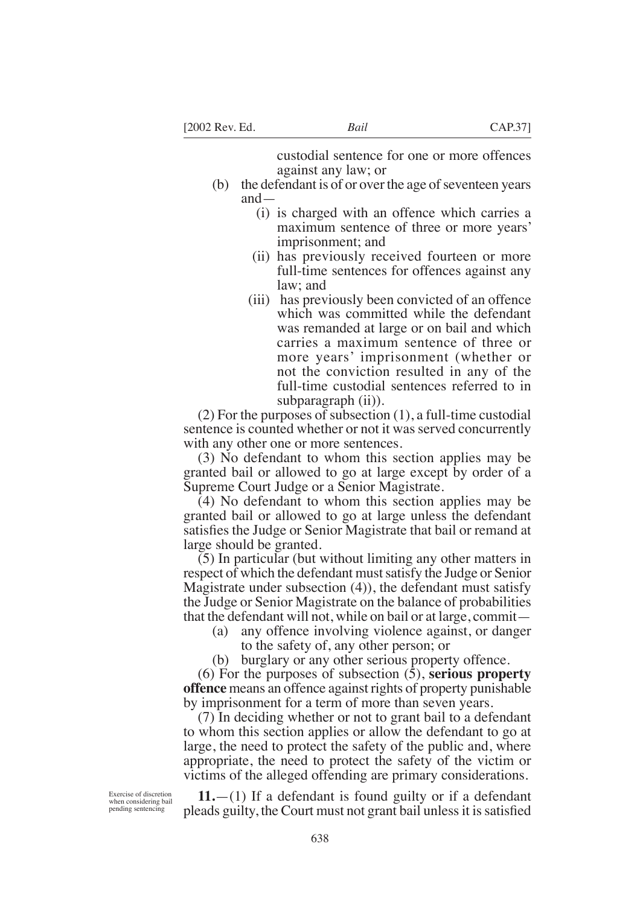custodial sentence for one or more offences against any law; or

- (b) the defendant is of or over the age of seventeen years and—
	- (i) is charged with an offence which carries a maximum sentence of three or more years' imprisonment; and
	- (ii) has previously received fourteen or more full-time sentences for offences against any law; and
	- (iii) has previously been convicted of an offence which was committed while the defendant was remanded at large or on bail and which carries a maximum sentence of three or more years' imprisonment (whether or not the conviction resulted in any of the full-time custodial sentences referred to in subparagraph (ii)).

(2) For the purposes of subsection (1), a full-time custodial sentence is counted whether or not it was served concurrently with any other one or more sentences.

(3) No defendant to whom this section applies may be granted bail or allowed to go at large except by order of a Supreme Court Judge or a Senior Magistrate.

(4) No defendant to whom this section applies may be granted bail or allowed to go at large unless the defendant satisfies the Judge or Senior Magistrate that bail or remand at large should be granted.

(5) In particular (but without limiting any other matters in respect of which the defendant must satisfy the Judge or Senior Magistrate under subsection (4)), the defendant must satisfy the Judge or Senior Magistrate on the balance of probabilities that the defendant will not, while on bail or at large, commit—

- (a) any offence involving violence against, or danger to the safety of, any other person; or
- (b) burglary or any other serious property offence.

(6) For the purposes of subsection (5), **serious property offence** means an offence against rights of property punishable by imprisonment for a term of more than seven years.

(7) In deciding whether or not to grant bail to a defendant to whom this section applies or allow the defendant to go at large, the need to protect the safety of the public and, where appropriate, the need to protect the safety of the victim or victims of the alleged offending are primary considerations.

Exercise of discretion when considering bail pending sentencing

**11.**—(1) If a defendant is found guilty or if a defendant pleads guilty, the Court must not grant bail unless it is satisfied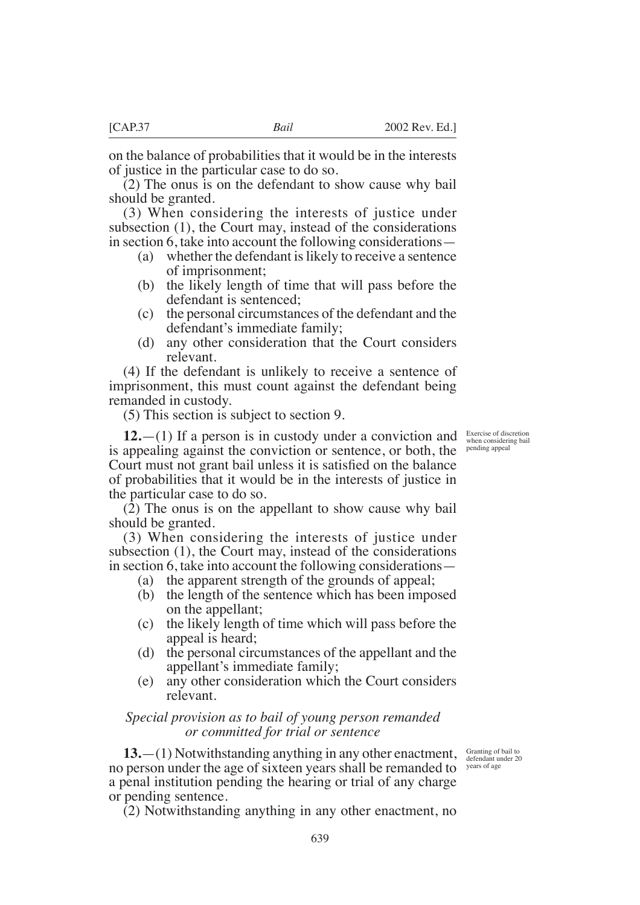on the balance of probabilities that it would be in the interests of justice in the particular case to do so.

(2) The onus is on the defendant to show cause why bail should be granted.

(3) When considering the interests of justice under subsection (1), the Court may, instead of the considerations in section 6, take into account the following considerations—

- (a) whether the defendant is likely to receive a sentence of imprisonment;
- (b) the likely length of time that will pass before the defendant is sentenced;
- (c) the personal circumstances of the defendant and the defendant's immediate family;
- (d) any other consideration that the Court considers relevant.

(4) If the defendant is unlikely to receive a sentence of imprisonment, this must count against the defendant being remanded in custody.

(5) This section is subject to section 9.

**12.**—(1) If a person is in custody under a conviction and is appealing against the conviction or sentence, or both, the Court must not grant bail unless it is satisfied on the balance of probabilities that it would be in the interests of justice in the particular case to do so.

(2) The onus is on the appellant to show cause why bail should be granted.

(3) When considering the interests of justice under subsection (1), the Court may, instead of the considerations in section 6, take into account the following considerations—

- (a) the apparent strength of the grounds of appeal;
- (b) the length of the sentence which has been imposed on the appellant;
- (c) the likely length of time which will pass before the appeal is heard;
- (d) the personal circumstances of the appellant and the appellant's immediate family;
- (e) any other consideration which the Court considers relevant.

## *Special provision as to bail of young person remanded or committed for trial or sentence*

**13.**—(1) Notwithstanding anything in any other enactment, no person under the age of sixteen years shall be remanded to vears of age a penal institution pending the hearing or trial of any charge or pending sentence.

(2) Notwithstanding anything in any other enactment, no

Exercise of discretion when considering bail pending appeal

Granting of bail to defendant under 20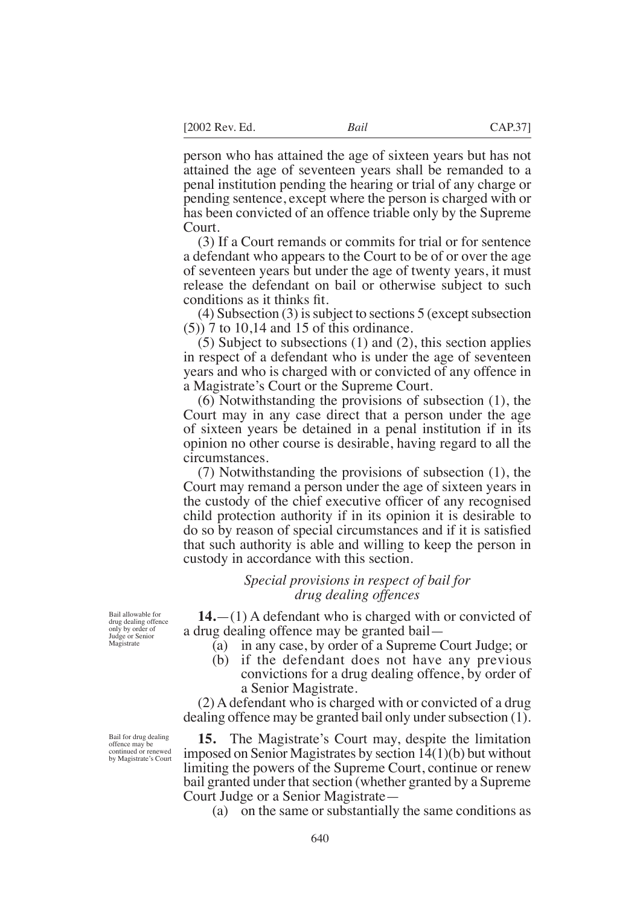person who has attained the age of sixteen years but has not attained the age of seventeen years shall be remanded to a penal institution pending the hearing or trial of any charge or pending sentence, except where the person is charged with or has been convicted of an offence triable only by the Supreme Court.

(3) If a Court remands or commits for trial or for sentence a defendant who appears to the Court to be of or over the age of seventeen years but under the age of twenty years, it must release the defendant on bail or otherwise subject to such conditions as it thinks fit.

(4) Subsection (3) is subject to sections 5 (except subsection  $(5)$ ) 7 to 10,14 and 15 of this ordinance.

(5) Subject to subsections (1) and (2), this section applies in respect of a defendant who is under the age of seventeen years and who is charged with or convicted of any offence in a Magistrate's Court or the Supreme Court.

(6) Notwithstanding the provisions of subsection (1), the Court may in any case direct that a person under the age of sixteen years be detained in a penal institution if in its opinion no other course is desirable, having regard to all the circumstances.

(7) Notwithstanding the provisions of subsection (1), the Court may remand a person under the age of sixteen years in the custody of the chief executive officer of any recognised child protection authority if in its opinion it is desirable to do so by reason of special circumstances and if it is satisfied that such authority is able and willing to keep the person in custody in accordance with this section.

## *Special provisions in respect of bail for drug dealing offences*

**14.**—(1) A defendant who is charged with or convicted of a drug dealing offence may be granted bail—

- (a) in any case, by order of a Supreme Court Judge; or
- (b) if the defendant does not have any previous convictions for a drug dealing offence, by order of a Senior Magistrate.

(2) A defendant who is charged with or convicted of a drug dealing offence may be granted bail only under subsection (1).

**15.** The Magistrate's Court may, despite the limitation imposed on Senior Magistrates by section 14(1)(b) but without limiting the powers of the Supreme Court, continue or renew bail granted under that section (whether granted by a Supreme Court Judge or a Senior Magistrate—

(a) on the same or substantially the same conditions as

Bail allowable for drug dealing offence only by order of Judge or Senior Magistrate

Bail for drug dealing offence may be continued or renewed by Magistrate's Court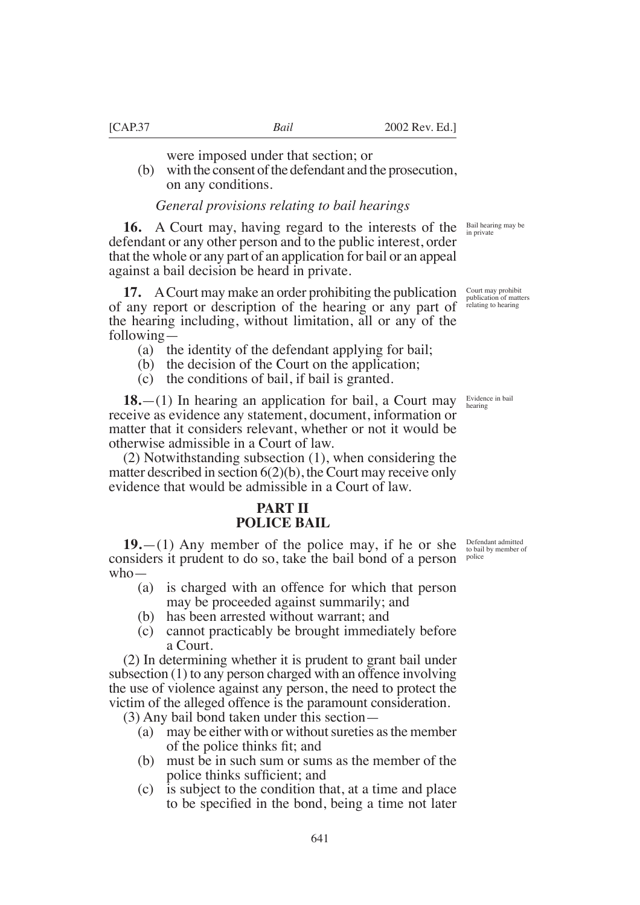[CAP.37 *Bail* 2002 Rev. Ed.]

were imposed under that section; or

(b) with the consent of the defendant and the prosecution, on any conditions.

# *General provisions relating to bail hearings*

**16.** A Court may, having regard to the interests of the defendant or any other person and to the public interest, order that the whole or any part of an application for bail or an appeal against a bail decision be heard in private.

**17.** A Court may make an order prohibiting the publication of any report or description of the hearing or any part of the hearing including, without limitation, all or any of the following—

(a) the identity of the defendant applying for bail;

- (b) the decision of the Court on the application;
- (c) the conditions of bail, if bail is granted.

**18.**—(1) In hearing an application for bail, a Court may receive as evidence any statement, document, information or matter that it considers relevant, whether or not it would be otherwise admissible in a Court of law.

(2) Notwithstanding subsection (1), when considering the matter described in section 6(2)(b), the Court may receive only evidence that would be admissible in a Court of law.

## **PART II POLICE BAIL**

**19.**—(1) Any member of the police may, if he or she Defendant admitted considers it prudent to do so, take the bail bond of a person who—

- (a) is charged with an offence for which that person may be proceeded against summarily; and
- (b) has been arrested without warrant; and
- (c) cannot practicably be brought immediately before a Court.

(2) In determining whether it is prudent to grant bail under subsection (1) to any person charged with an offence involving the use of violence against any person, the need to protect the victim of the alleged offence is the paramount consideration.

(3) Any bail bond taken under this section—

- (a) may be either with or without sureties as the member of the police thinks fit; and
- (b) must be in such sum or sums as the member of the police thinks sufficient; and
- (c) is subject to the condition that, at a time and place to be specified in the bond, being a time not later

Bail hearing may be in private

Court may prohibit publication of matters relating to hearing

Evidence in bail hearing

police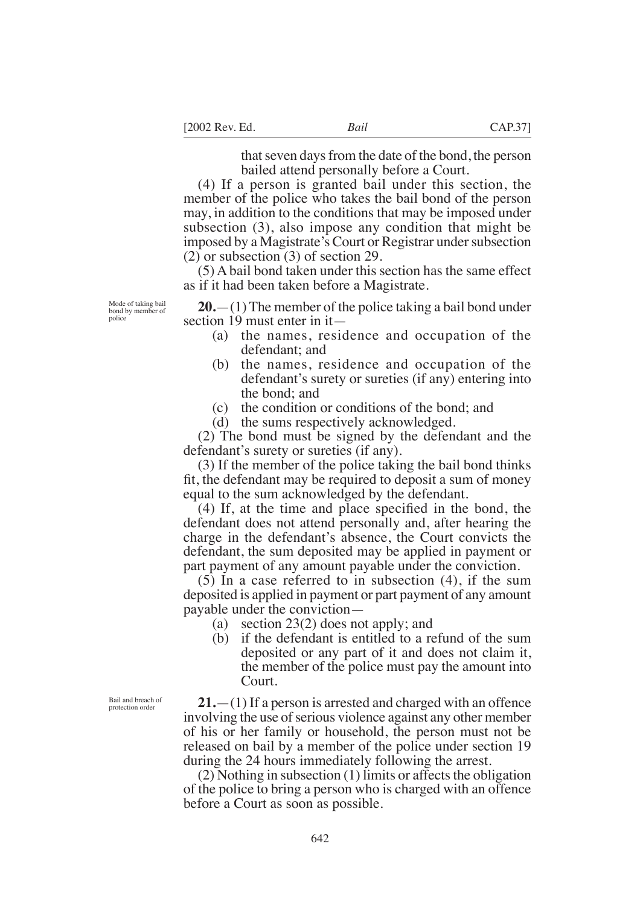that seven days from the date of the bond, the person bailed attend personally before a Court.

(4) If a person is granted bail under this section, the member of the police who takes the bail bond of the person may, in addition to the conditions that may be imposed under subsection (3), also impose any condition that might be imposed by a Magistrate's Court or Registrar under subsection (2) or subsection (3) of section 29.

(5) A bail bond taken under this section has the same effect as if it had been taken before a Magistrate.

**20.**—(1) The member of the police taking a bail bond under section 19 must enter in it—

- (a) the names, residence and occupation of the defendant; and
- (b) the names, residence and occupation of the defendant's surety or sureties (if any) entering into the bond; and
- (c) the condition or conditions of the bond; and
- (d) the sums respectively acknowledged.

(2) The bond must be signed by the defendant and the defendant's surety or sureties (if any).

(3) If the member of the police taking the bail bond thinks fit, the defendant may be required to deposit a sum of money equal to the sum acknowledged by the defendant.

 $(4)$  If, at the time and place specified in the bond, the defendant does not attend personally and, after hearing the charge in the defendant's absence, the Court convicts the defendant, the sum deposited may be applied in payment or part payment of any amount payable under the conviction.

(5) In a case referred to in subsection (4), if the sum deposited is applied in payment or part payment of any amount payable under the conviction—

- (a) section 23(2) does not apply; and
- (b) if the defendant is entitled to a refund of the sum deposited or any part of it and does not claim it, the member of the police must pay the amount into Court.

**21.**—(1) If a person is arrested and charged with an offence involving the use of serious violence against any other member of his or her family or household, the person must not be released on bail by a member of the police under section 19 during the 24 hours immediately following the arrest.

(2) Nothing in subsection (1) limits or affects the obligation of the police to bring a person who is charged with an offence before a Court as soon as possible.

Mode of taking bail bond by member of police

Bail and breach of protection order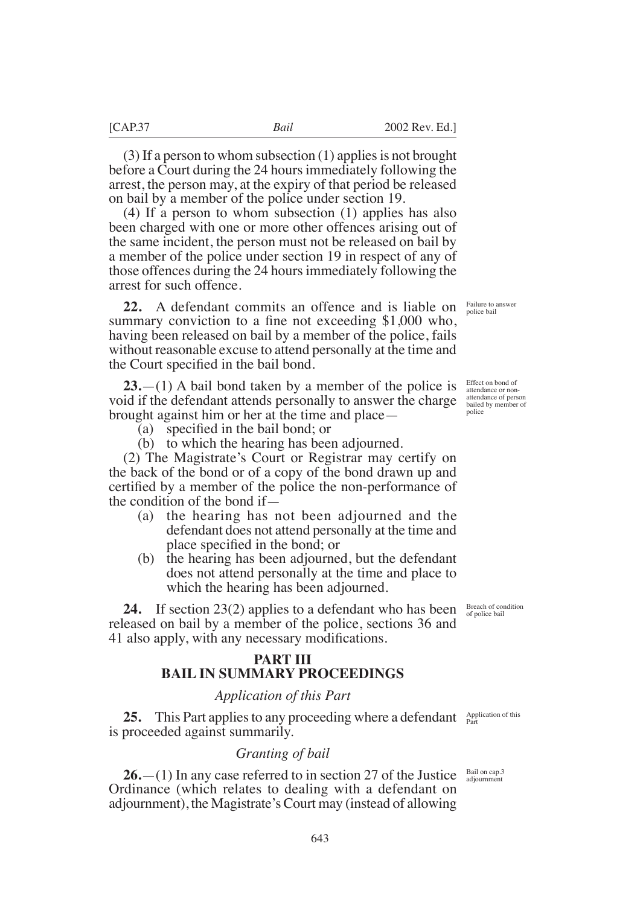(3) If a person to whom subsection (1) applies is not brought before a Court during the 24 hours immediately following the arrest, the person may, at the expiry of that period be released on bail by a member of the police under section 19.

(4) If a person to whom subsection (1) applies has also been charged with one or more other offences arising out of the same incident, the person must not be released on bail by a member of the police under section 19 in respect of any of those offences during the 24 hours immediately following the arrest for such offence.

**22.** A defendant commits an offence and is liable on summary conviction to a fine not exceeding  $$1,000$  who, having been released on bail by a member of the police, fails without reasonable excuse to attend personally at the time and the Court specified in the bail bond.

**23.**—(1) A bail bond taken by a member of the police is void if the defendant attends personally to answer the charge brought against him or her at the time and place—

- (a) specified in the bail bond; or
- (b) to which the hearing has been adjourned.

(2) The Magistrate's Court or Registrar may certify on the back of the bond or of a copy of the bond drawn up and certified by a member of the police the non-performance of the condition of the bond if—

- (a) the hearing has not been adjourned and the defendant does not attend personally at the time and place specified in the bond; or
- (b) the hearing has been adjourned, but the defendant does not attend personally at the time and place to which the hearing has been adjourned.

**24.** If section 23(2) applies to a defendant who has been released on bail by a member of the police, sections 36 and 41 also apply, with any necessary modifications.

# **PART III BAIL IN SUMMARY PROCEEDINGS**

## *Application of this Part*

**25.** This Part applies to any proceeding where a defendant Application of this is proceeded against summarily.

## *Granting of bail*

**26.**—(1) In any case referred to in section 27 of the Justice Ordinance (which relates to dealing with a defendant on adjournment), the Magistrate's Court may (instead of allowing

Failure to answer police bail

Effect on bond of attendance or nonattendance of person bailed by member of police

Breach of condition of police bail

Bail on cap.3 adjournment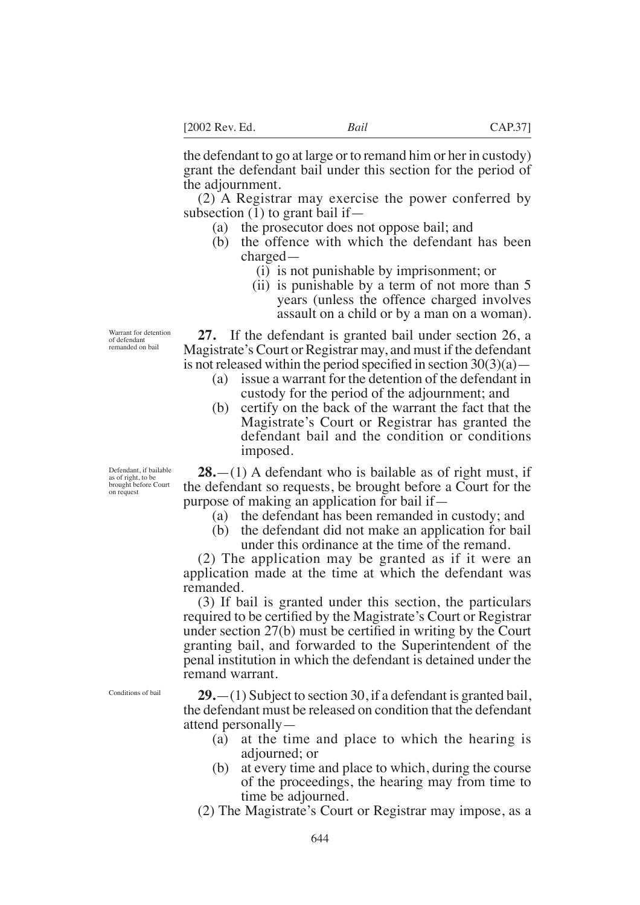the defendant to go at large or to remand him or her in custody) grant the defendant bail under this section for the period of the adjournment.

(2) A Registrar may exercise the power conferred by subsection  $(1)$  to grant bail if —

- (a) the prosecutor does not oppose bail; and
- (b) the offence with which the defendant has been charged—
	- (i) is not punishable by imprisonment; or
	- (ii) is punishable by a term of not more than 5 years (unless the offence charged involves assault on a child or by a man on a woman).

**27.** If the defendant is granted bail under section 26, a Magistrate's Court or Registrar may, and must if the defendant is not released within the period specified in section  $30(3)(a)$  —

- (a) issue a warrant for the detention of the defendant in custody for the period of the adjournment; and
- (b) certify on the back of the warrant the fact that the Magistrate's Court or Registrar has granted the defendant bail and the condition or conditions imposed.

**28.**—(1) A defendant who is bailable as of right must, if the defendant so requests, be brought before a Court for the purpose of making an application for bail if—

- (a) the defendant has been remanded in custody; and
- (b) the defendant did not make an application for bail under this ordinance at the time of the remand.

(2) The application may be granted as if it were an application made at the time at which the defendant was remanded.

(3) If bail is granted under this section, the particulars required to be certified by the Magistrate's Court or Registrar under section  $27(b)$  must be certified in writing by the Court granting bail, and forwarded to the Superintendent of the penal institution in which the defendant is detained under the remand warrant.

**29.**—(1) Subject to section 30, if a defendant is granted bail, the defendant must be released on condition that the defendant attend personally—

- (a) at the time and place to which the hearing is adjourned; or
- (b) at every time and place to which, during the course of the proceedings, the hearing may from time to time be adjourned.
- (2) The Magistrate's Court or Registrar may impose, as a

Warrant for detention of defendant remanded on bail

Defendant, if bailable as of right, to be brought before Court on request

Conditions of bail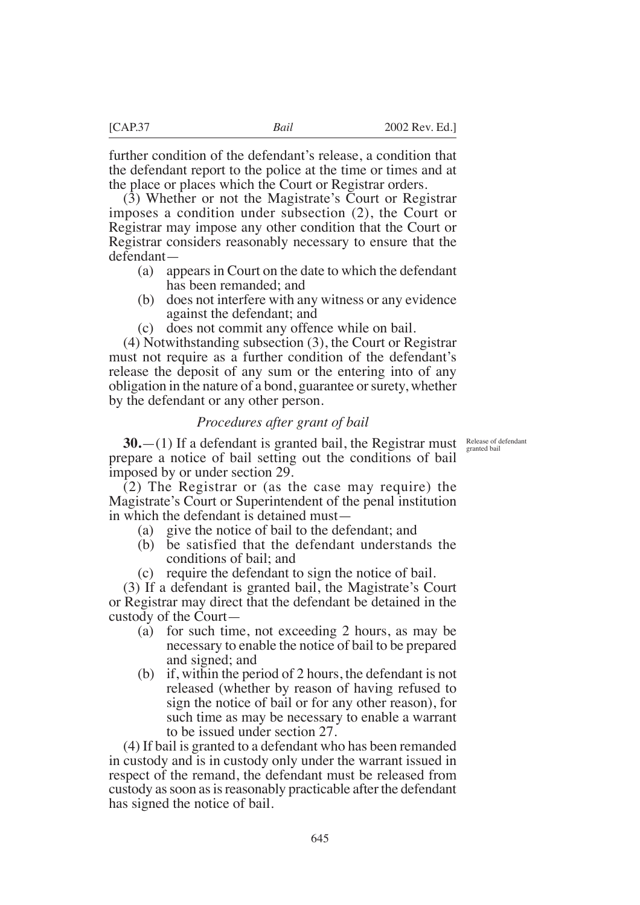further condition of the defendant's release, a condition that the defendant report to the police at the time or times and at the place or places which the Court or Registrar orders.

(3) Whether or not the Magistrate's Court or Registrar imposes a condition under subsection (2), the Court or Registrar may impose any other condition that the Court or Registrar considers reasonably necessary to ensure that the defendant—

- (a) appears in Court on the date to which the defendant has been remanded; and
- (b) does not interfere with any witness or any evidence against the defendant; and
- (c) does not commit any offence while on bail.

(4) Notwithstanding subsection (3), the Court or Registrar must not require as a further condition of the defendant's release the deposit of any sum or the entering into of any obligation in the nature of a bond, guarantee or surety, whether by the defendant or any other person.

## *Procedures after grant of bail*

**30.**—(1) If a defendant is granted bail, the Registrar must  $\frac{\text{Release of defendant}}{\text{grand ball}}$ prepare a notice of bail setting out the conditions of bail imposed by or under section 29.

(2) The Registrar or (as the case may require) the Magistrate's Court or Superintendent of the penal institution in which the defendant is detained must—

- (a) give the notice of bail to the defendant; and
- (b) be satisfied that the defendant understands the conditions of bail; and
- (c) require the defendant to sign the notice of bail.

(3) If a defendant is granted bail, the Magistrate's Court or Registrar may direct that the defendant be detained in the custody of the Court—

- (a) for such time, not exceeding 2 hours, as may be necessary to enable the notice of bail to be prepared and signed; and
- (b) if, within the period of 2 hours, the defendant is not released (whether by reason of having refused to sign the notice of bail or for any other reason), for such time as may be necessary to enable a warrant to be issued under section 27.

(4) If bail is granted to a defendant who has been remanded in custody and is in custody only under the warrant issued in respect of the remand, the defendant must be released from custody as soon as is reasonably practicable after the defendant has signed the notice of bail.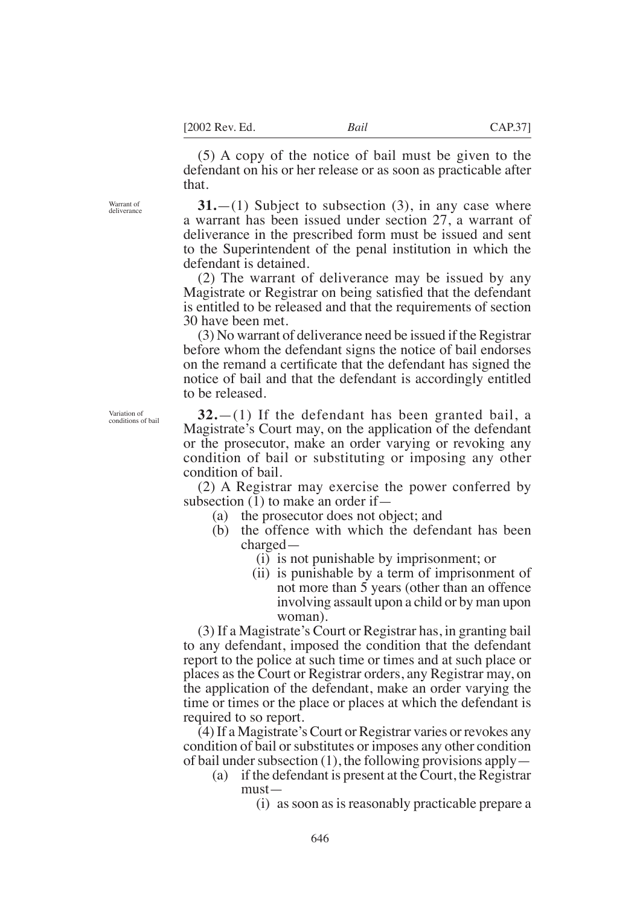(5) A copy of the notice of bail must be given to the defendant on his or her release or as soon as practicable after that.

**31.**—(1) Subject to subsection (3), in any case where a warrant has been issued under section 27, a warrant of deliverance in the prescribed form must be issued and sent to the Superintendent of the penal institution in which the defendant is detained.

(2) The warrant of deliverance may be issued by any Magistrate or Registrar on being satisfied that the defendant is entitled to be released and that the requirements of section 30 have been met.

(3) No warrant of deliverance need be issued if the Registrar before whom the defendant signs the notice of bail endorses on the remand a certificate that the defendant has signed the notice of bail and that the defendant is accordingly entitled to be released.

**32.**—(1) If the defendant has been granted bail, a Magistrate's Court may, on the application of the defendant or the prosecutor, make an order varying or revoking any condition of bail or substituting or imposing any other condition of bail.

(2) A Registrar may exercise the power conferred by subsection (1) to make an order if—

- (a) the prosecutor does not object; and
- (b) the offence with which the defendant has been charged—
	- (i) is not punishable by imprisonment; or
	- (ii) is punishable by a term of imprisonment of not more than 5 years (other than an offence involving assault upon a child or by man upon woman).

(3) If a Magistrate's Court or Registrar has, in granting bail to any defendant, imposed the condition that the defendant report to the police at such time or times and at such place or places as the Court or Registrar orders, any Registrar may, on the application of the defendant, make an order varying the time or times or the place or places at which the defendant is required to so report.

(4) If a Magistrate's Court or Registrar varies or revokes any condition of bail or substitutes or imposes any other condition of bail under subsection  $(1)$ , the following provisions apply —

(a) if the defendant is present at the Court, the Registrar must—

(i) as soon as is reasonably practicable prepare a

Variation of conditions of bail

Warrant of deliverance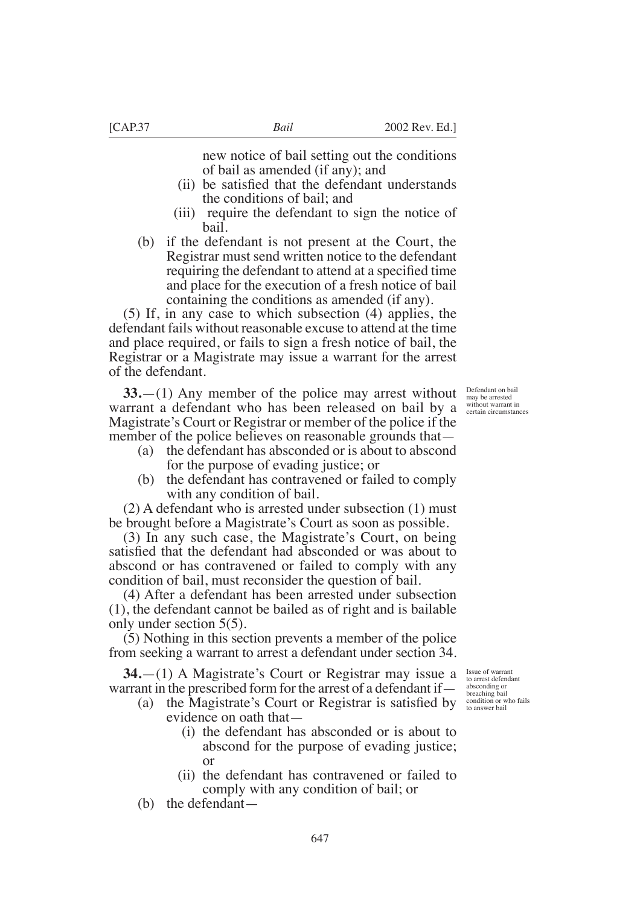new notice of bail setting out the conditions of bail as amended (if any); and

- (ii) be satisfied that the defendant understands the conditions of bail; and
- (iii) require the defendant to sign the notice of bail.
- (b) if the defendant is not present at the Court, the Registrar must send written notice to the defendant requiring the defendant to attend at a specified time and place for the execution of a fresh notice of bail containing the conditions as amended (if any).

(5) If, in any case to which subsection (4) applies, the defendant fails without reasonable excuse to attend at the time and place required, or fails to sign a fresh notice of bail, the Registrar or a Magistrate may issue a warrant for the arrest of the defendant.

**33.**—(1) Any member of the police may arrest without warrant a defendant who has been released on bail by a Magistrate's Court or Registrar or member of the police if the member of the police believes on reasonable grounds that—

- (a) the defendant has absconded or is about to abscond for the purpose of evading justice; or
- (b) the defendant has contravened or failed to comply with any condition of bail.

(2) A defendant who is arrested under subsection (1) must be brought before a Magistrate's Court as soon as possible.

(3) In any such case, the Magistrate's Court, on being satisfied that the defendant had absconded or was about to abscond or has contravened or failed to comply with any condition of bail, must reconsider the question of bail.

(4) After a defendant has been arrested under subsection (1), the defendant cannot be bailed as of right and is bailable only under section 5(5).

(5) Nothing in this section prevents a member of the police from seeking a warrant to arrest a defendant under section 34.

**34.**—(1) A Magistrate's Court or Registrar may issue a warrant in the prescribed form for the arrest of a defendant if—

- (a) the Magistrate's Court or Registrar is satisfied by evidence on oath that—
	- (i) the defendant has absconded or is about to abscond for the purpose of evading justice; or
	- (ii) the defendant has contravened or failed to comply with any condition of bail; or
- (b) the defendant—

Defendant on bail may be arrested without warrant in certain circumstances

Issue of warrant to arrest defendant absconding or breaching bail condition or who fails to answer bail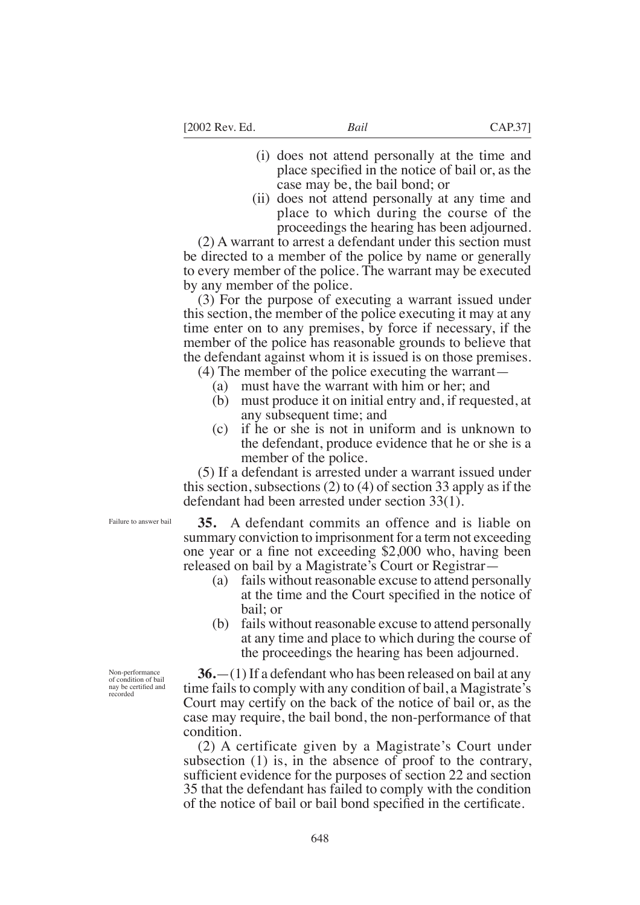- (i) does not attend personally at the time and place specified in the notice of bail or, as the case may be, the bail bond; or
- (ii) does not attend personally at any time and place to which during the course of the proceedings the hearing has been adjourned.

(2) A warrant to arrest a defendant under this section must be directed to a member of the police by name or generally to every member of the police. The warrant may be executed by any member of the police.

(3) For the purpose of executing a warrant issued under this section, the member of the police executing it may at any time enter on to any premises, by force if necessary, if the member of the police has reasonable grounds to believe that the defendant against whom it is issued is on those premises.

- (4) The member of the police executing the warrant—
	- (a) must have the warrant with him or her; and
	- (b) must produce it on initial entry and, if requested, at any subsequent time; and
	- (c) if he or she is not in uniform and is unknown to the defendant, produce evidence that he or she is a member of the police.

(5) If a defendant is arrested under a warrant issued under this section, subsections (2) to (4) of section 33 apply as if the defendant had been arrested under section 33(1).

Failure to answer bail

**35.** A defendant commits an offence and is liable on summary conviction to imprisonment for a term not exceeding one year or a fine not exceeding  $$2,000$  who, having been released on bail by a Magistrate's Court or Registrar—

- (a) fails without reasonable excuse to attend personally at the time and the Court specified in the notice of bail; or
- (b) fails without reasonable excuse to attend personally at any time and place to which during the course of the proceedings the hearing has been adjourned.

**36.**—(1) If a defendant who has been released on bail at any time fails to comply with any condition of bail, a Magistrate's Court may certify on the back of the notice of bail or, as the case may require, the bail bond, the non-performance of that condition.

(2) A certificate given by a Magistrate's Court under subsection (1) is, in the absence of proof to the contrary, sufficient evidence for the purposes of section 22 and section 35 that the defendant has failed to comply with the condition of the notice of bail or bail bond specified in the certificate.

Non-performance of condition of bail nay be certified and recorded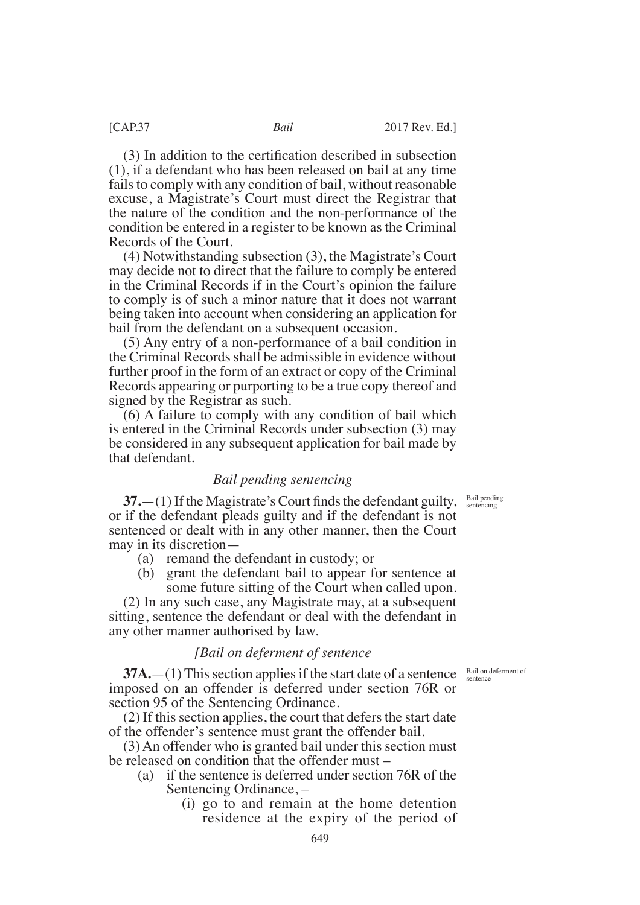(i) go to and remain at the home detention residence at the expiry of the period of

649

(1), if a defendant who has been released on bail at any time fails to comply with any condition of bail, without reasonable excuse, a Magistrate's Court must direct the Registrar that the nature of the condition and the non-performance of the condition be entered in a register to be known as the Criminal Records of the Court.

 $(3)$  In addition to the certification described in subsection

(4) Notwithstanding subsection (3), the Magistrate's Court may decide not to direct that the failure to comply be entered in the Criminal Records if in the Court's opinion the failure to comply is of such a minor nature that it does not warrant being taken into account when considering an application for bail from the defendant on a subsequent occasion.

(5) Any entry of a non-performance of a bail condition in the Criminal Records shall be admissible in evidence without further proof in the form of an extract or copy of the Criminal Records appearing or purporting to be a true copy thereof and signed by the Registrar as such.

(6) A failure to comply with any condition of bail which is entered in the Criminal Records under subsection (3) may be considered in any subsequent application for bail made by that defendant.

## *Bail pending sentencing*

 $37.$ —(1) If the Magistrate's Court finds the defendant guilty, or if the defendant pleads guilty and if the defendant is not sentenced or dealt with in any other manner, then the Court may in its discretion—

- (a) remand the defendant in custody; or
- (b) grant the defendant bail to appear for sentence at some future sitting of the Court when called upon.

(2) In any such case, any Magistrate may, at a subsequent sitting, sentence the defendant or deal with the defendant in any other manner authorised by law.

## *[Bail on deferment of sentence*

**37A.**—(1) This section applies if the start date of a sentence imposed on an offender is deferred under section 76R or section 95 of the Sentencing Ordinance.

(2) If this section applies, the court that defers the start date of the offender's sentence must grant the offender bail.

(3) An offender who is granted bail under this section must be released on condition that the offender must –

- (a) if the sentence is deferred under section 76R of the Sentencing Ordinance, –
- 

Bail pending sentencing

Bail on deferment of sentence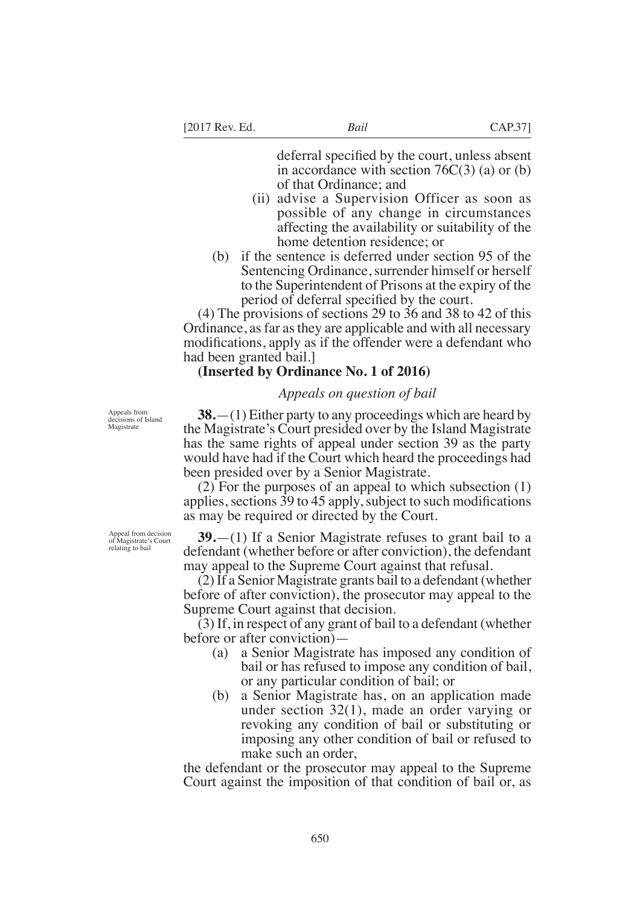deferral specified by the court, unless absent in accordance with section  $76C(3)$  (a) or (b) of that Ordinance; and

- (ii) advise a Supervision Officer as soon as possible of any change in circumstances affecting the availability or suitability of the home detention residence; or
- (b) if the sentence is deferred under section 95 of the Sentencing Ordinance, surrender himself or herself to the Superintendent of Prisons at the expiry of the period of deferral specified by the court.

(4) The provisions of sections 29 to 36 and 38 to 42 of this Ordinance, as far as they are applicable and with all necessary modifications, apply as if the offender were a defendant who had been granted bail.]

## **(Inserted by Ordinance No. 1 of 2016)**

## *Appeals on question of bail*

**38.**—(1) Either party to any proceedings which are heard by the Magistrate's Court presided over by the Island Magistrate has the same rights of appeal under section 39 as the party would have had if the Court which heard the proceedings had been presided over by a Senior Magistrate.

(2) For the purposes of an appeal to which subsection (1) applies, sections 39 to 45 apply, subject to such modifications as may be required or directed by the Court.

**39.**—(1) If a Senior Magistrate refuses to grant bail to a defendant (whether before or after conviction), the defendant may appeal to the Supreme Court against that refusal.

(2) If a Senior Magistrate grants bail to a defendant (whether before of after conviction), the prosecutor may appeal to the Supreme Court against that decision.

(3) If, in respect of any grant of bail to a defendant (whether before or after conviction)—

- (a) a Senior Magistrate has imposed any condition of bail or has refused to impose any condition of bail, or any particular condition of bail; or
- (b) a Senior Magistrate has, on an application made under section 32(1), made an order varying or revoking any condition of bail or substituting or imposing any other condition of bail or refused to make such an order,

the defendant or the prosecutor may appeal to the Supreme Court against the imposition of that condition of bail or, as

Appeals from decisions of Island Magistrate

Appeal from decision of Magistrate's Court relating to bail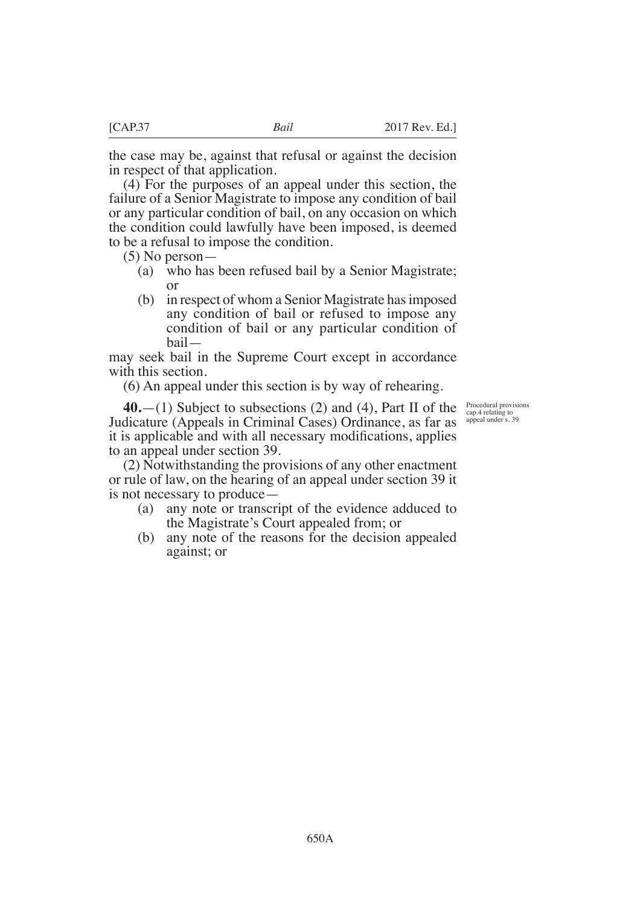the case may be, against that refusal or against the decision in respect of that application.

(4) For the purposes of an appeal under this section, the failure of a Senior Magistrate to impose any condition of bail or any particular condition of bail, on any occasion on which the condition could lawfully have been imposed, is deemed to be a refusal to impose the condition.

(5) No person—

- (a) who has been refused bail by a Senior Magistrate; or
- (b) in respect of whom a Senior Magistrate has imposed any condition of bail or refused to impose any condition of bail or any particular condition of bail—

may seek bail in the Supreme Court except in accordance with this section.

(6) An appeal under this section is by way of rehearing.

**40.**—(1) Subject to subsections (2) and (4), Part II of the Judicature (Appeals in Criminal Cases) Ordinance, as far as it is applicable and with all necessary modifications, applies to an appeal under section 39.

Procedural provisions cap.4 relating to appeal under s. 39

(2) Notwithstanding the provisions of any other enactment or rule of law, on the hearing of an appeal under section 39 it is not necessary to produce—

- (a) any note or transcript of the evidence adduced to the Magistrate's Court appealed from; or
- (b) any note of the reasons for the decision appealed against; or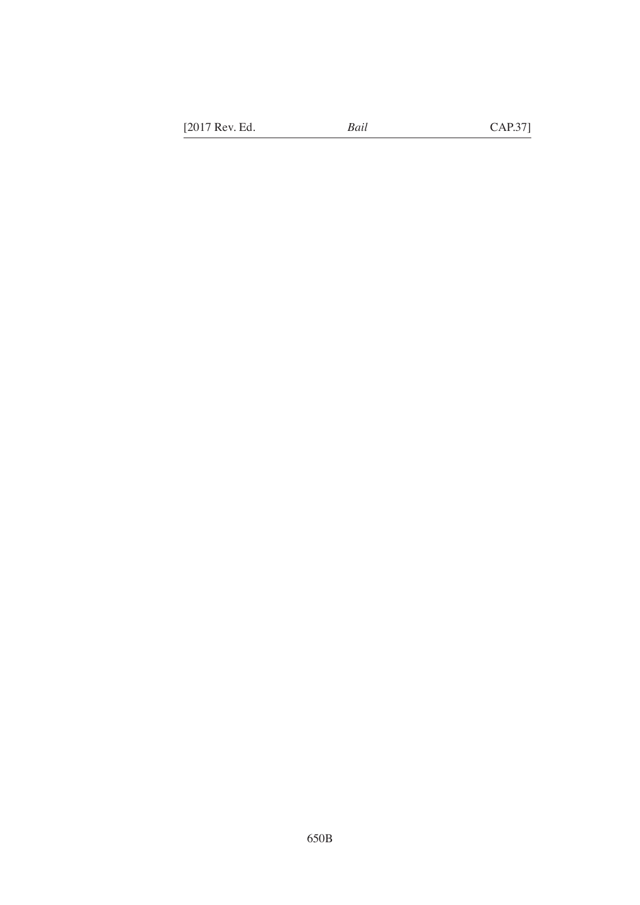[2017 Rev. Ed. *Bail* CAP.37]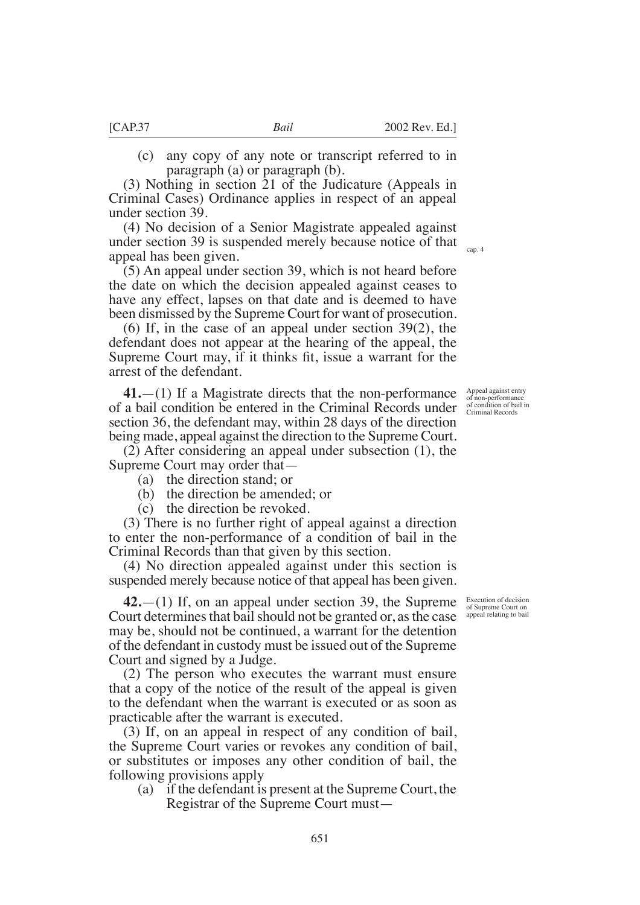(c) any copy of any note or transcript referred to in paragraph (a) or paragraph (b).

(3) Nothing in section 21 of the Judicature (Appeals in Criminal Cases) Ordinance applies in respect of an appeal under section 39.

(4) No decision of a Senior Magistrate appealed against under section 39 is suspended merely because notice of that appeal has been given.

(5) An appeal under section 39, which is not heard before the date on which the decision appealed against ceases to have any effect, lapses on that date and is deemed to have been dismissed by the Supreme Court for want of prosecution.

(6) If, in the case of an appeal under section 39(2), the defendant does not appear at the hearing of the appeal, the Supreme Court may, if it thinks fit, issue a warrant for the arrest of the defendant.

**41.**—(1) If a Magistrate directs that the non-performance of a bail condition be entered in the Criminal Records under section 36, the defendant may, within 28 days of the direction being made, appeal against the direction to the Supreme Court.

(2) After considering an appeal under subsection (1), the Supreme Court may order that—

- (a) the direction stand; or
- (b) the direction be amended; or
- (c) the direction be revoked.

(3) There is no further right of appeal against a direction to enter the non-performance of a condition of bail in the Criminal Records than that given by this section.

(4) No direction appealed against under this section is suspended merely because notice of that appeal has been given.

**42.**—(1) If, on an appeal under section 39, the Supreme Court determines that bail should not be granted or, as the case may be, should not be continued, a warrant for the detention of the defendant in custody must be issued out of the Supreme Court and signed by a Judge.

(2) The person who executes the warrant must ensure that a copy of the notice of the result of the appeal is given to the defendant when the warrant is executed or as soon as practicable after the warrant is executed.

(3) If, on an appeal in respect of any condition of bail, the Supreme Court varies or revokes any condition of bail, or substitutes or imposes any other condition of bail, the following provisions apply

(a) if the defendant is present at the Supreme Court, the Registrar of the Supreme Court must—

Execution of decision of Supreme Court on appeal relating to bail

Appeal against entry of non-performance of condition of bail in Criminal Records

cap. 4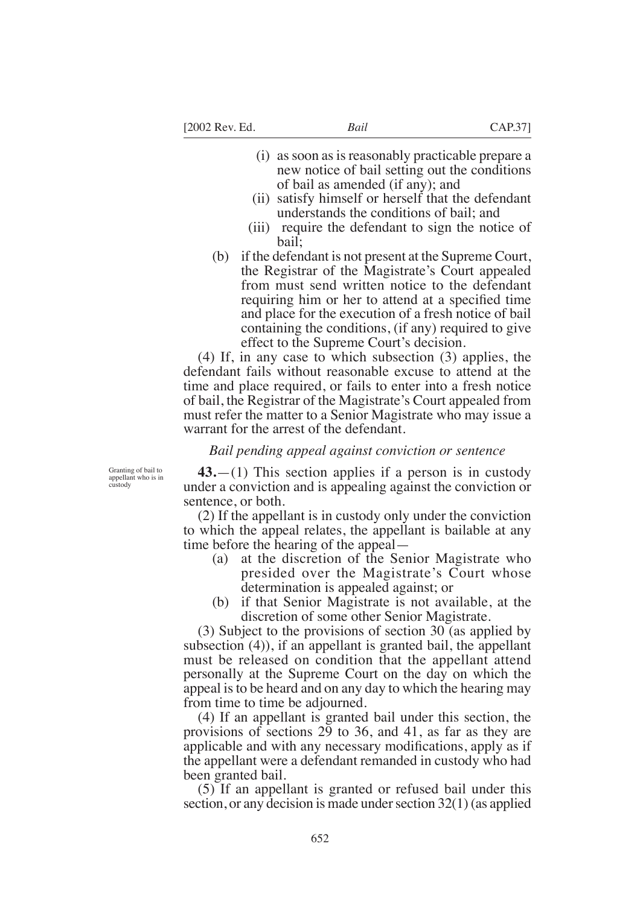- (i) as soon as is reasonably practicable prepare a new notice of bail setting out the conditions of bail as amended (if any); and
- (ii) satisfy himself or herself that the defendant understands the conditions of bail; and
- (iii) require the defendant to sign the notice of bail;
- (b) if the defendant is not present at the Supreme Court, the Registrar of the Magistrate's Court appealed from must send written notice to the defendant requiring him or her to attend at a specified time and place for the execution of a fresh notice of bail containing the conditions, (if any) required to give effect to the Supreme Court's decision.

(4) If, in any case to which subsection (3) applies, the defendant fails without reasonable excuse to attend at the time and place required, or fails to enter into a fresh notice of bail, the Registrar of the Magistrate's Court appealed from must refer the matter to a Senior Magistrate who may issue a warrant for the arrest of the defendant.

#### *Bail pending appeal against conviction or sentence*

Granting of bail to appellant who is in custody

**43.**—(1) This section applies if a person is in custody under a conviction and is appealing against the conviction or sentence, or both.

(2) If the appellant is in custody only under the conviction to which the appeal relates, the appellant is bailable at any time before the hearing of the appeal—

- (a) at the discretion of the Senior Magistrate who presided over the Magistrate's Court whose determination is appealed against; or
- (b) if that Senior Magistrate is not available, at the discretion of some other Senior Magistrate.

(3) Subject to the provisions of section 30 (as applied by subsection (4)), if an appellant is granted bail, the appellant must be released on condition that the appellant attend personally at the Supreme Court on the day on which the appeal is to be heard and on any day to which the hearing may from time to time be adjourned.

(4) If an appellant is granted bail under this section, the provisions of sections 29 to 36, and 41, as far as they are applicable and with any necessary modifications, apply as if the appellant were a defendant remanded in custody who had been granted bail.

(5) If an appellant is granted or refused bail under this section, or any decision is made under section 32(1) (as applied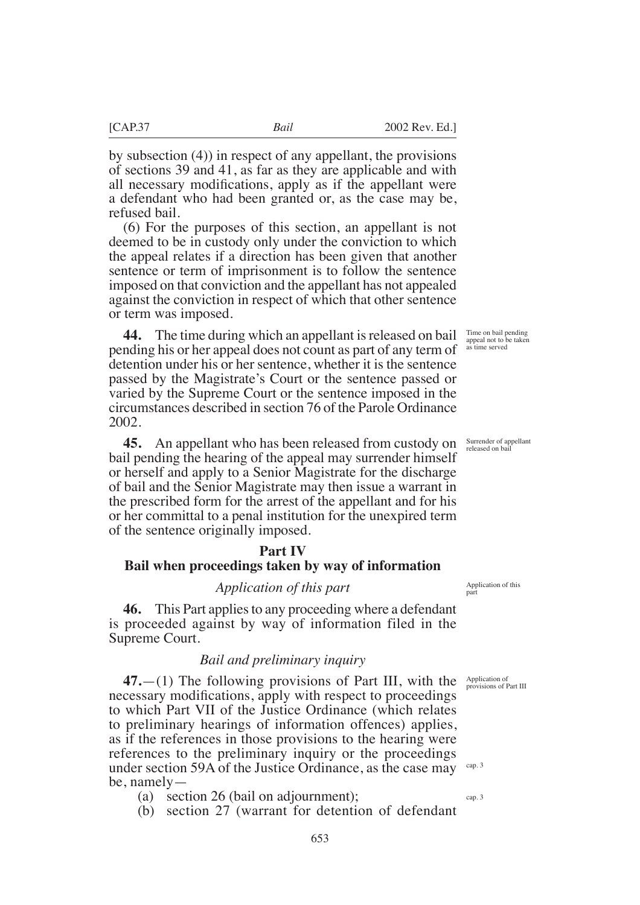by subsection (4)) in respect of any appellant, the provisions of sections 39 and 41, as far as they are applicable and with all necessary modifications, apply as if the appellant were a defendant who had been granted or, as the case may be, refused bail.

(6) For the purposes of this section, an appellant is not deemed to be in custody only under the conviction to which the appeal relates if a direction has been given that another sentence or term of imprisonment is to follow the sentence imposed on that conviction and the appellant has not appealed against the conviction in respect of which that other sentence or term was imposed.

**44.** The time during which an appellant is released on bail pending his or her appeal does not count as part of any term of detention under his or her sentence, whether it is the sentence passed by the Magistrate's Court or the sentence passed or varied by the Supreme Court or the sentence imposed in the circumstances described in section 76 of the Parole Ordinance 2002.

**45.** An appellant who has been released from custody on bail pending the hearing of the appeal may surrender himself or herself and apply to a Senior Magistrate for the discharge of bail and the Senior Magistrate may then issue a warrant in the prescribed form for the arrest of the appellant and for his or her committal to a penal institution for the unexpired term of the sentence originally imposed.

### **Part IV**

## **Bail when proceedings taken by way of information**

## *Application of this part*

**46.** This Part applies to any proceeding where a defendant is proceeded against by way of information filed in the Supreme Court.

## *Bail and preliminary inquiry*

**47.**—(1) The following provisions of Part III, with the necessary modifications, apply with respect to proceedings to which Part VII of the Justice Ordinance (which relates to preliminary hearings of information offences) applies, as if the references in those provisions to the hearing were references to the preliminary inquiry or the proceedings under section 59A of the Justice Ordinance, as the case may  $\frac{cap.3}{2}$ be, namely—

(a) section 26 (bail on adjournment);

(b) section 27 (warrant for detention of defendant

Application of this part

Application of provisions of Part III

cap. 3

Time on bail pending appeal not to be taken as time served

Surrender of appellant released on bail

653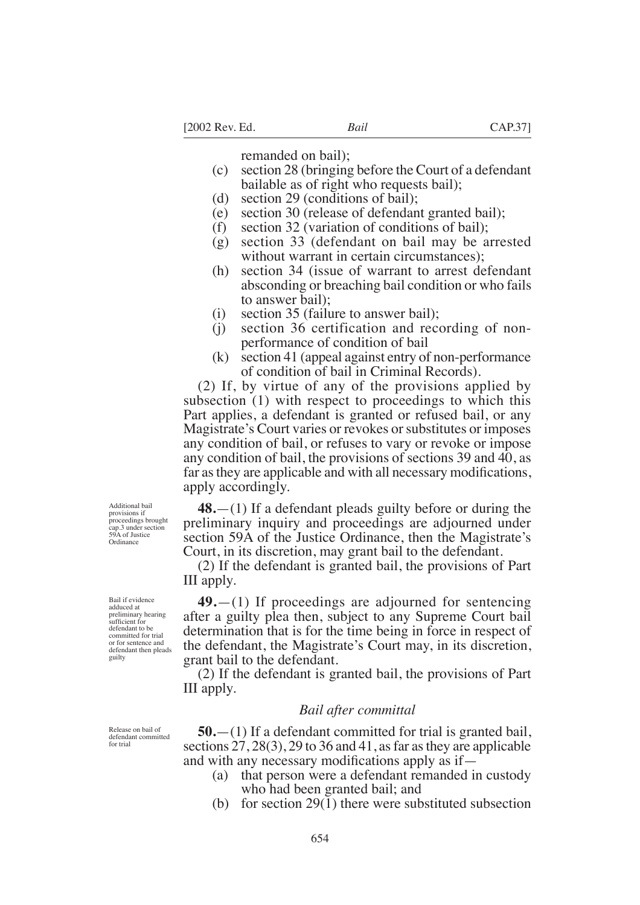remanded on bail);

- (c) section 28 (bringing before the Court of a defendant bailable as of right who requests bail);
- (d) section 29 (conditions of bail);
- (e) section 30 (release of defendant granted bail);
- (f) section 32 (variation of conditions of bail);
- (g) section 33 (defendant on bail may be arrested without warrant in certain circumstances);
- (h) section 34 (issue of warrant to arrest defendant absconding or breaching bail condition or who fails to answer bail);
- (i) section 35 (failure to answer bail);
- (j) section 36 certification and recording of nonperformance of condition of bail
- (k) section 41 (appeal against entry of non-performance of condition of bail in Criminal Records).

(2) If, by virtue of any of the provisions applied by subsection (1) with respect to proceedings to which this Part applies, a defendant is granted or refused bail, or any Magistrate's Court varies or revokes or substitutes or imposes any condition of bail, or refuses to vary or revoke or impose any condition of bail, the provisions of sections 39 and 40, as far as they are applicable and with all necessary modifications, apply accordingly.

**48.**—(1) If a defendant pleads guilty before or during the preliminary inquiry and proceedings are adjourned under section 59A of the Justice Ordinance, then the Magistrate's Court, in its discretion, may grant bail to the defendant.

(2) If the defendant is granted bail, the provisions of Part III apply.

**49.**—(1) If proceedings are adjourned for sentencing after a guilty plea then, subject to any Supreme Court bail determination that is for the time being in force in respect of the defendant, the Magistrate's Court may, in its discretion, grant bail to the defendant.

(2) If the defendant is granted bail, the provisions of Part III apply.

## *Bail after committal*

**50.**—(1) If a defendant committed for trial is granted bail, sections 27, 28(3), 29 to 36 and 41, as far as they are applicable and with any necessary modifications apply as if  $-$ 

- (a) that person were a defendant remanded in custody who had been granted bail; and
- (b) for section 29(1) there were substituted subsection

Additional bail provisions if proceedings brought cap.3 under section 59A of Justice **Ordinance** 

Bail if evidence adduced at preliminary hearing suffcient for defendant to be committed for trial or for sentence and defendant then pleads guilty

Release on bail of defendant committed for trial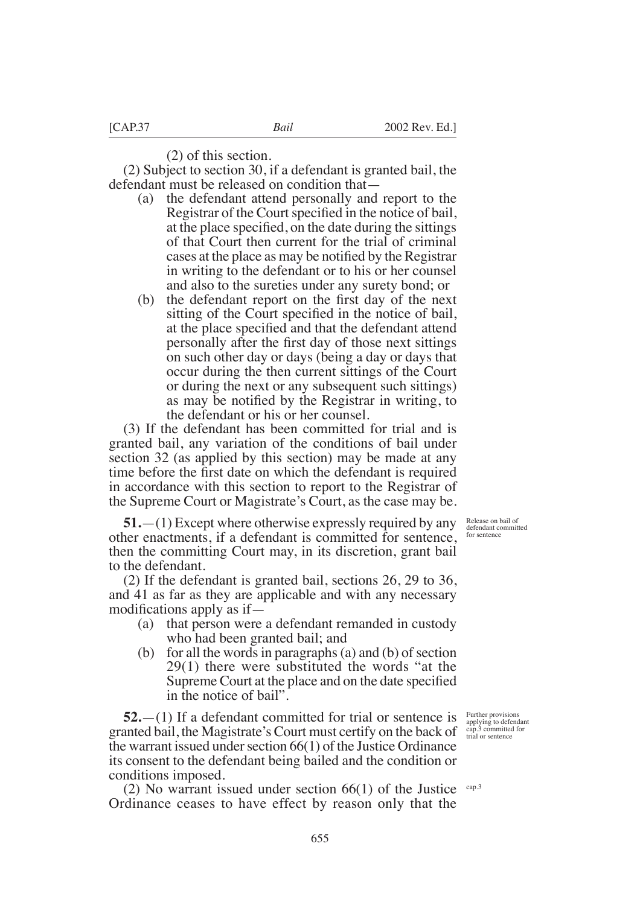(2) of this section.

(2) Subject to section 30, if a defendant is granted bail, the defendant must be released on condition that—

- (a) the defendant attend personally and report to the Registrar of the Court specified in the notice of bail, at the place specified, on the date during the sittings of that Court then current for the trial of criminal cases at the place as may be notified by the Registrar in writing to the defendant or to his or her counsel and also to the sureties under any surety bond; or
- $(b)$  the defendant report on the first day of the next sitting of the Court specified in the notice of bail, at the place specified and that the defendant attend personally after the first day of those next sittings on such other day or days (being a day or days that occur during the then current sittings of the Court or during the next or any subsequent such sittings) as may be notified by the Registrar in writing, to the defendant or his or her counsel.

(3) If the defendant has been committed for trial and is granted bail, any variation of the conditions of bail under section 32 (as applied by this section) may be made at any time before the first date on which the defendant is required in accordance with this section to report to the Registrar of the Supreme Court or Magistrate's Court, as the case may be.

**51.**—(1) Except where otherwise expressly required by any other enactments, if a defendant is committed for sentence, then the committing Court may, in its discretion, grant bail to the defendant.

(2) If the defendant is granted bail, sections 26, 29 to 36, and 41 as far as they are applicable and with any necessary modifications apply as if  $-$ 

- (a) that person were a defendant remanded in custody who had been granted bail; and
- (b) for all the words in paragraphs (a) and (b) of section 29(1) there were substituted the words "at the Supreme Court at the place and on the date specified in the notice of bail".

**52.**—(1) If a defendant committed for trial or sentence is granted bail, the Magistrate's Court must certify on the back of the warrant issued under section 66(1) of the Justice Ordinance its consent to the defendant being bailed and the condition or conditions imposed.

(2) No warrant issued under section  $66(1)$  of the Justice  $\frac{cap.3}{2}$ Ordinance ceases to have effect by reason only that the

Release on bail of defendant committed for sentence

Further provisions applying to defendant cap.3 committed for trial or sentence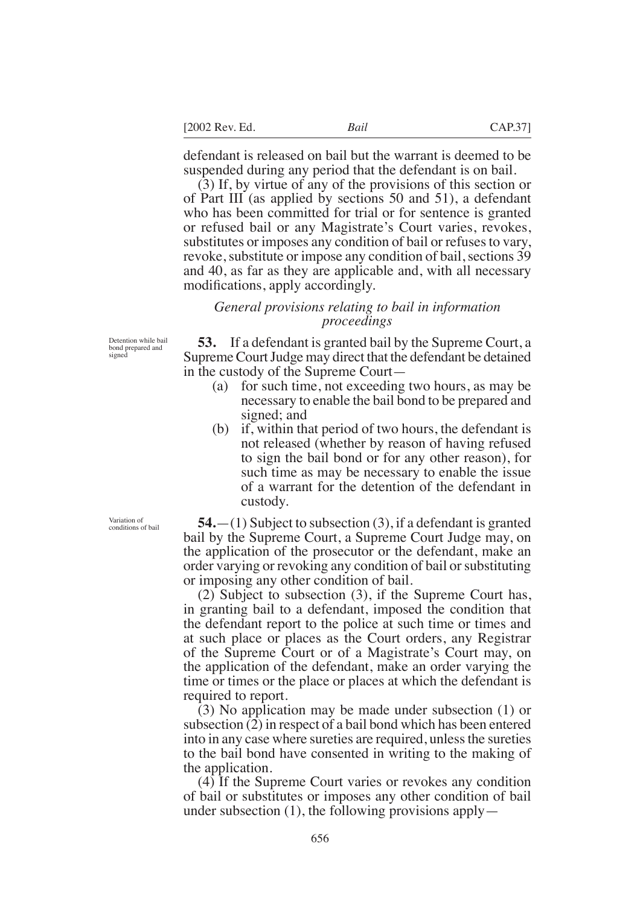defendant is released on bail but the warrant is deemed to be suspended during any period that the defendant is on bail.

(3) If, by virtue of any of the provisions of this section or of Part III (as applied by sections 50 and 51), a defendant who has been committed for trial or for sentence is granted or refused bail or any Magistrate's Court varies, revokes, substitutes or imposes any condition of bail or refuses to vary, revoke, substitute or impose any condition of bail, sections 39 and 40, as far as they are applicable and, with all necessary modifications, apply accordingly.

## *General provisions relating to bail in information proceedings*

Detention while bail bond prepared and sioned

**53.** If a defendant is granted bail by the Supreme Court, a Supreme Court Judge may direct that the defendant be detained in the custody of the Supreme Court—

- (a) for such time, not exceeding two hours, as may be necessary to enable the bail bond to be prepared and signed; and
- (b) if, within that period of two hours, the defendant is not released (whether by reason of having refused to sign the bail bond or for any other reason), for such time as may be necessary to enable the issue of a warrant for the detention of the defendant in custody.

**54.**—(1) Subject to subsection (3), if a defendant is granted bail by the Supreme Court, a Supreme Court Judge may, on the application of the prosecutor or the defendant, make an order varying or revoking any condition of bail or substituting or imposing any other condition of bail.

(2) Subject to subsection (3), if the Supreme Court has, in granting bail to a defendant, imposed the condition that the defendant report to the police at such time or times and at such place or places as the Court orders, any Registrar of the Supreme Court or of a Magistrate's Court may, on the application of the defendant, make an order varying the time or times or the place or places at which the defendant is required to report.

(3) No application may be made under subsection (1) or subsection (2) in respect of a bail bond which has been entered into in any case where sureties are required, unless the sureties to the bail bond have consented in writing to the making of the application.

(4) If the Supreme Court varies or revokes any condition of bail or substitutes or imposes any other condition of bail under subsection  $(1)$ , the following provisions apply—

Variation of conditions of bail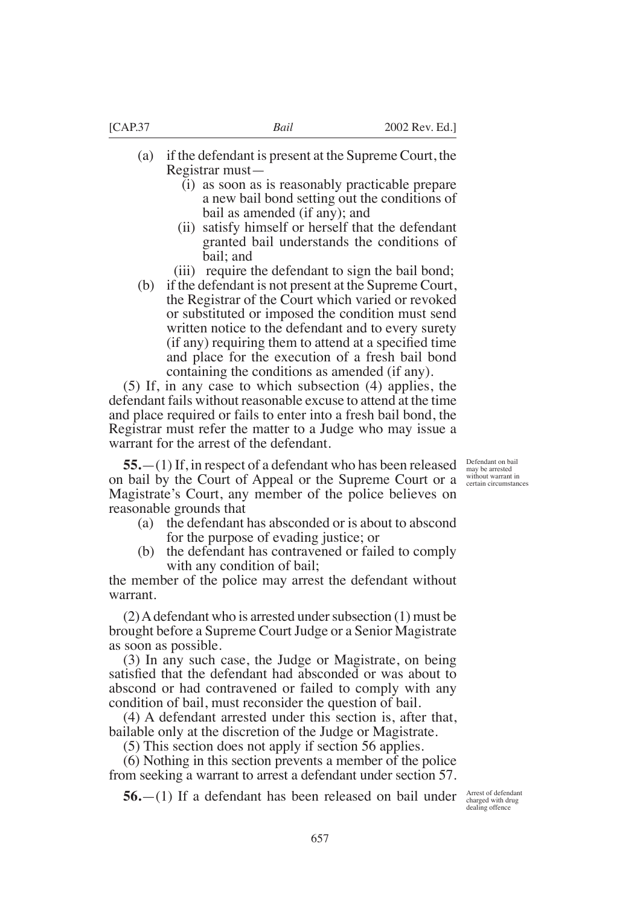- (a) if the defendant is present at the Supreme Court, the Registrar must—
	- (i) as soon as is reasonably practicable prepare a new bail bond setting out the conditions of bail as amended (if any); and
	- (ii) satisfy himself or herself that the defendant granted bail understands the conditions of bail; and
	- (iii) require the defendant to sign the bail bond;
- (b) if the defendant is not present at the Supreme Court, the Registrar of the Court which varied or revoked or substituted or imposed the condition must send written notice to the defendant and to every surety  $(i$ f any) requiring them to attend at a specified time and place for the execution of a fresh bail bond containing the conditions as amended (if any).

(5) If, in any case to which subsection (4) applies, the defendant fails without reasonable excuse to attend at the time and place required or fails to enter into a fresh bail bond, the Registrar must refer the matter to a Judge who may issue a warrant for the arrest of the defendant.

**55.**—(1) If, in respect of a defendant who has been released on bail by the Court of Appeal or the Supreme Court or a Magistrate's Court, any member of the police believes on reasonable grounds that

- (a) the defendant has absconded or is about to abscond for the purpose of evading justice; or
- (b) the defendant has contravened or failed to comply with any condition of bail;

the member of the police may arrest the defendant without warrant.

(2) A defendant who is arrested under subsection (1) must be brought before a Supreme Court Judge or a Senior Magistrate as soon as possible.

(3) In any such case, the Judge or Magistrate, on being satisfied that the defendant had absconded or was about to abscond or had contravened or failed to comply with any condition of bail, must reconsider the question of bail.

(4) A defendant arrested under this section is, after that, bailable only at the discretion of the Judge or Magistrate.

(5) This section does not apply if section 56 applies.

(6) Nothing in this section prevents a member of the police from seeking a warrant to arrest a defendant under section 57.

**56.**—(1) If a defendant has been released on bail under

Defendant on bail may be arrested without warrant in certain circumstances

Arrest of defendant charged with drug dealing offence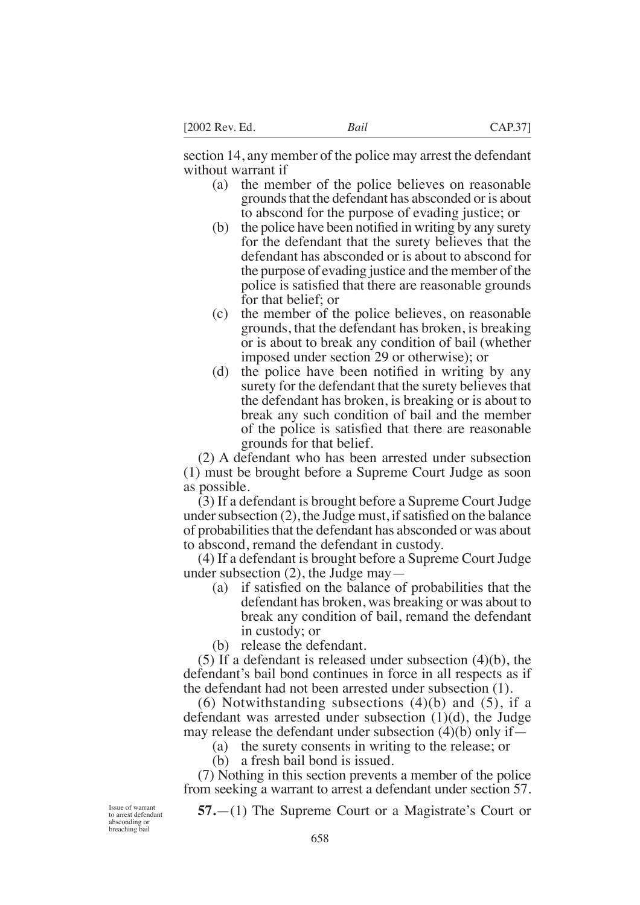section 14, any member of the police may arrest the defendant without warrant if

- (a) the member of the police believes on reasonable grounds that the defendant has absconded or is about to abscond for the purpose of evading justice; or
- (b) the police have been notified in writing by any surety for the defendant that the surety believes that the defendant has absconded or is about to abscond for the purpose of evading justice and the member of the police is satisfied that there are reasonable grounds for that belief; or
- (c) the member of the police believes, on reasonable grounds, that the defendant has broken, is breaking or is about to break any condition of bail (whether imposed under section 29 or otherwise); or
- (d) the police have been notified in writing by any surety for the defendant that the surety believes that the defendant has broken, is breaking or is about to break any such condition of bail and the member of the police is satisfied that there are reasonable grounds for that belief.

(2) A defendant who has been arrested under subsection (1) must be brought before a Supreme Court Judge as soon as possible.

(3) If a defendant is brought before a Supreme Court Judge under subsection  $(2)$ , the Judge must, if satisfied on the balance of probabilities that the defendant has absconded or was about to abscond, remand the defendant in custody.

(4) If a defendant is brought before a Supreme Court Judge under subsection (2), the Judge may—

- (a) if satisfied on the balance of probabilities that the defendant has broken, was breaking or was about to break any condition of bail, remand the defendant in custody; or
- (b) release the defendant.

(5) If a defendant is released under subsection (4)(b), the defendant's bail bond continues in force in all respects as if the defendant had not been arrested under subsection (1).

 $(6)$  Notwithstanding subsections  $(4)(b)$  and  $(5)$ , if a defendant was arrested under subsection (1)(d), the Judge may release the defendant under subsection  $(4)(b)$  only if —

(a) the surety consents in writing to the release; or

(b) a fresh bail bond is issued.

(7) Nothing in this section prevents a member of the police from seeking a warrant to arrest a defendant under section 57.

to arrest defendant absconding or breaching bail

 $\frac{55}{10}$  Supe of warrant **57.**—(1) The Supreme Court or a Magistrate's Court or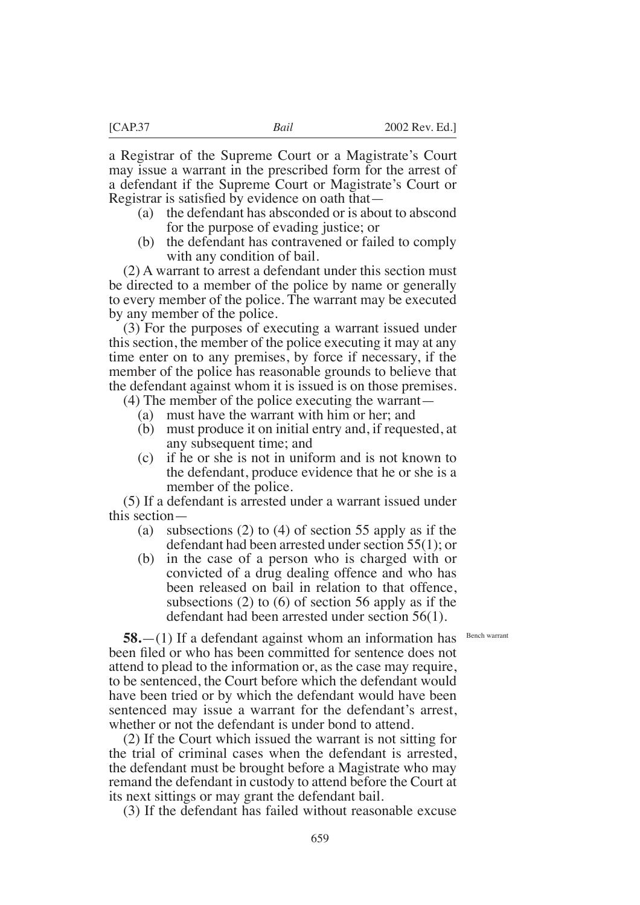a Registrar of the Supreme Court or a Magistrate's Court may issue a warrant in the prescribed form for the arrest of a defendant if the Supreme Court or Magistrate's Court or Registrar is satisfied by evidence on oath that  $-$ 

- (a) the defendant has absconded or is about to abscond for the purpose of evading justice; or
- (b) the defendant has contravened or failed to comply with any condition of bail.

(2) A warrant to arrest a defendant under this section must be directed to a member of the police by name or generally to every member of the police. The warrant may be executed by any member of the police.

(3) For the purposes of executing a warrant issued under this section, the member of the police executing it may at any time enter on to any premises, by force if necessary, if the member of the police has reasonable grounds to believe that the defendant against whom it is issued is on those premises.

(4) The member of the police executing the warrant—

- (a) must have the warrant with him or her; and
- (b) must produce it on initial entry and, if requested, at any subsequent time; and
- (c) if he or she is not in uniform and is not known to the defendant, produce evidence that he or she is a member of the police.

(5) If a defendant is arrested under a warrant issued under this section—

- (a) subsections (2) to (4) of section 55 apply as if the defendant had been arrested under section 55(1); or
- (b) in the case of a person who is charged with or convicted of a drug dealing offence and who has been released on bail in relation to that offence, subsections (2) to (6) of section 56 apply as if the defendant had been arrested under section 56(1).

Bench warrant

**58.**—(1) If a defendant against whom an information has been filed or who has been committed for sentence does not attend to plead to the information or, as the case may require, to be sentenced, the Court before which the defendant would have been tried or by which the defendant would have been sentenced may issue a warrant for the defendant's arrest, whether or not the defendant is under bond to attend.

(2) If the Court which issued the warrant is not sitting for the trial of criminal cases when the defendant is arrested, the defendant must be brought before a Magistrate who may remand the defendant in custody to attend before the Court at its next sittings or may grant the defendant bail.

(3) If the defendant has failed without reasonable excuse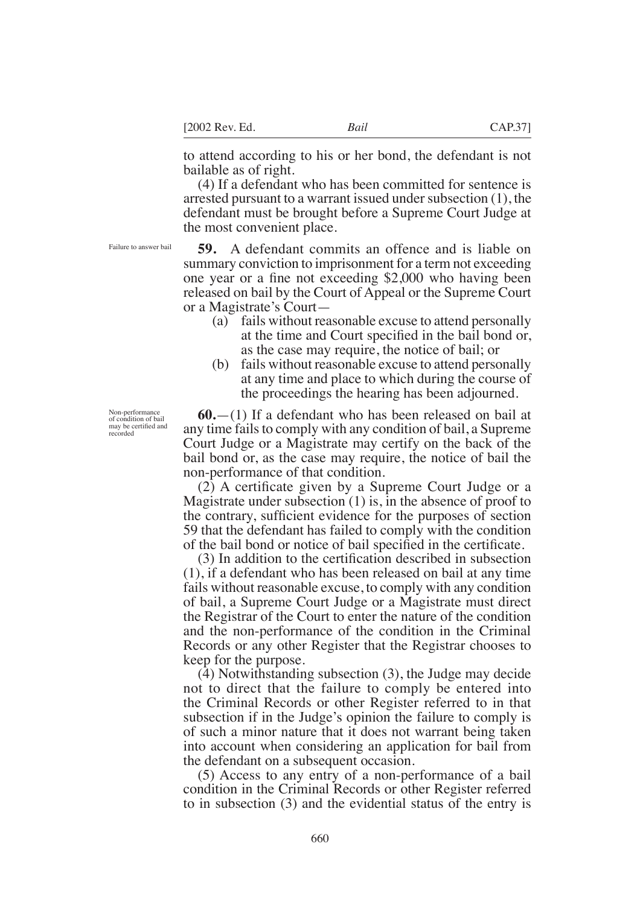to attend according to his or her bond, the defendant is not bailable as of right.

(4) If a defendant who has been committed for sentence is arrested pursuant to a warrant issued under subsection (1), the defendant must be brought before a Supreme Court Judge at the most convenient place.

**59.** A defendant commits an offence and is liable on summary conviction to imprisonment for a term not exceeding one year or a fine not exceeding  $$2,000$  who having been released on bail by the Court of Appeal or the Supreme Court or a Magistrate's Court—

- (a) fails without reasonable excuse to attend personally at the time and Court specified in the bail bond or, as the case may require, the notice of bail; or
- (b) fails without reasonable excuse to attend personally at any time and place to which during the course of the proceedings the hearing has been adjourned.

**60.**—(1) If a defendant who has been released on bail at any time fails to comply with any condition of bail, a Supreme Court Judge or a Magistrate may certify on the back of the bail bond or, as the case may require, the notice of bail the non-performance of that condition.

 $(2)$  A certificate given by a Supreme Court Judge or a Magistrate under subsection (1) is, in the absence of proof to the contrary, sufficient evidence for the purposes of section 59 that the defendant has failed to comply with the condition of the bail bond or notice of bail specified in the certificate.

 $(3)$  In addition to the certification described in subsection (1), if a defendant who has been released on bail at any time fails without reasonable excuse, to comply with any condition of bail, a Supreme Court Judge or a Magistrate must direct the Registrar of the Court to enter the nature of the condition and the non-performance of the condition in the Criminal Records or any other Register that the Registrar chooses to keep for the purpose.

(4) Notwithstanding subsection (3), the Judge may decide not to direct that the failure to comply be entered into the Criminal Records or other Register referred to in that subsection if in the Judge's opinion the failure to comply is of such a minor nature that it does not warrant being taken into account when considering an application for bail from the defendant on a subsequent occasion.

(5) Access to any entry of a non-performance of a bail condition in the Criminal Records or other Register referred to in subsection (3) and the evidential status of the entry is

Non-performance of condition of bail may be certified and recorded

Failure to answer bail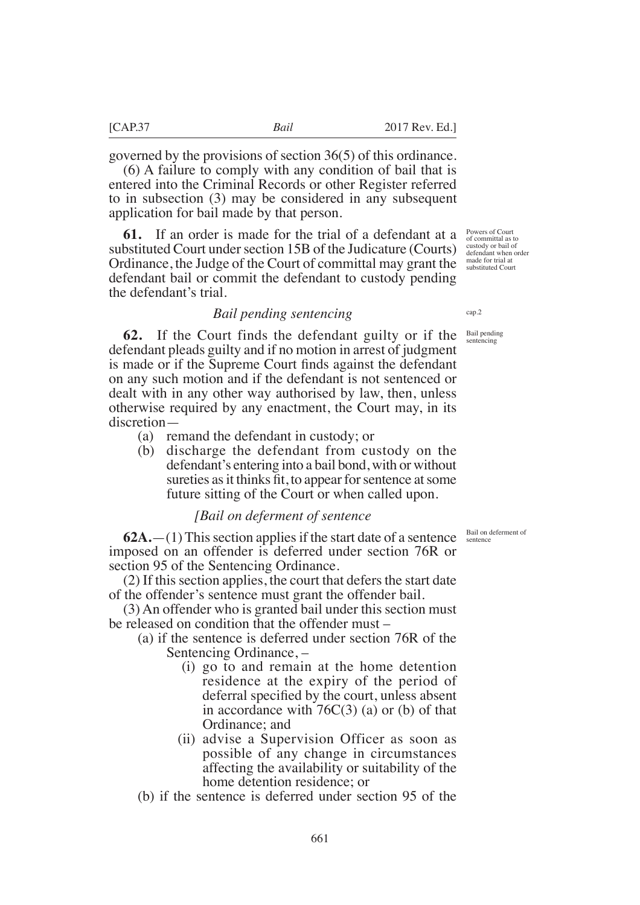governed by the provisions of section 36(5) of this ordinance. (6) A failure to comply with any condition of bail that is entered into the Criminal Records or other Register referred

**61.** If an order is made for the trial of a defendant at a substituted Court under section 15B of the Judicature (Courts) Ordinance, the Judge of the Court of committal may grant the defendant bail or commit the defendant to custody pending the defendant's trial.

# *Bail pending sentencing*

**62.** If the Court finds the defendant guilty or if the defendant pleads guilty and if no motion in arrest of judgment is made or if the Supreme Court finds against the defendant on any such motion and if the defendant is not sentenced or dealt with in any other way authorised by law, then, unless otherwise required by any enactment, the Court may, in its discretion—

- (a) remand the defendant in custody; or
- (b) discharge the defendant from custody on the defendant's entering into a bail bond, with or without sureties as it thinks fit, to appear for sentence at some future sitting of the Court or when called upon.

# *[Bail on deferment of sentence*

**62A.**—(1) This section applies if the start date of a sentence imposed on an offender is deferred under section 76R or section 95 of the Sentencing Ordinance.

(2) If this section applies, the court that defers the start date of the offender's sentence must grant the offender bail.

(3) An offender who is granted bail under this section must be released on condition that the offender must –

- (a) if the sentence is deferred under section 76R of the Sentencing Ordinance, –
	- (i) go to and remain at the home detention residence at the expiry of the period of deferral specified by the court, unless absent in accordance with  $76C(3)$  (a) or (b) of that Ordinance; and
	- (ii) advise a Supervision Officer as soon as possible of any change in circumstances affecting the availability or suitability of the home detention residence; or
- (b) if the sentence is deferred under section 95 of the

Powers of Court of committal as to custody or bail of defendant when order made for trial at substituted Court

cap.2

Bail pending sentencing

Bail on deferment of sentence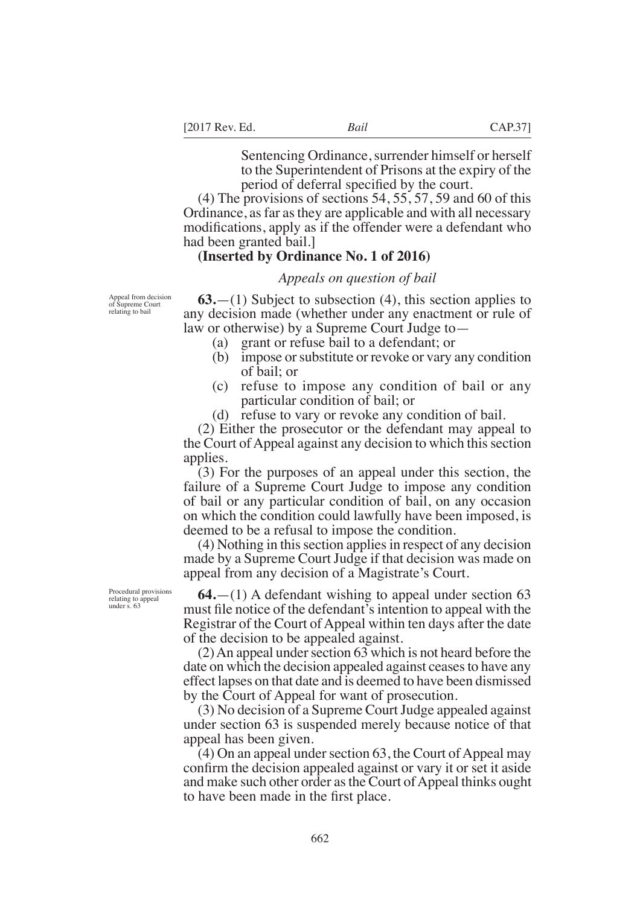Sentencing Ordinance, surrender himself or herself to the Superintendent of Prisons at the expiry of the period of deferral specified by the court.

(4) The provisions of sections 54, 55, 57, 59 and 60 of this Ordinance, as far as they are applicable and with all necessary modifications, apply as if the offender were a defendant who had been granted bail.]

## **(Inserted by Ordinance No. 1 of 2016)**

## *Appeals on question of bail*

Appeal from decision of Supreme Court relating to bail

**63.**—(1) Subject to subsection (4), this section applies to any decision made (whether under any enactment or rule of law or otherwise) by a Supreme Court Judge to—

- (a) grant or refuse bail to a defendant; or
- (b) impose or substitute or revoke or vary any condition of bail; or
- (c) refuse to impose any condition of bail or any particular condition of bail; or
- (d) refuse to vary or revoke any condition of bail.

(2) Either the prosecutor or the defendant may appeal to the Court of Appeal against any decision to which this section applies.

(3) For the purposes of an appeal under this section, the failure of a Supreme Court Judge to impose any condition of bail or any particular condition of bail, on any occasion on which the condition could lawfully have been imposed, is deemed to be a refusal to impose the condition.

(4) Nothing in this section applies in respect of any decision made by a Supreme Court Judge if that decision was made on appeal from any decision of a Magistrate's Court.

**64.**—(1) A defendant wishing to appeal under section 63 must file notice of the defendant's intention to appeal with the Registrar of the Court of Appeal within ten days after the date of the decision to be appealed against.

(2) An appeal under section 63 which is not heard before the date on which the decision appealed against ceases to have any effect lapses on that date and is deemed to have been dismissed by the Court of Appeal for want of prosecution.

(3) No decision of a Supreme Court Judge appealed against under section 63 is suspended merely because notice of that appeal has been given.

(4) On an appeal under section 63, the Court of Appeal may confirm the decision appealed against or vary it or set it aside and make such other order as the Court of Appeal thinks ought to have been made in the first place.

Procedural provisions relating to appeal under s. 63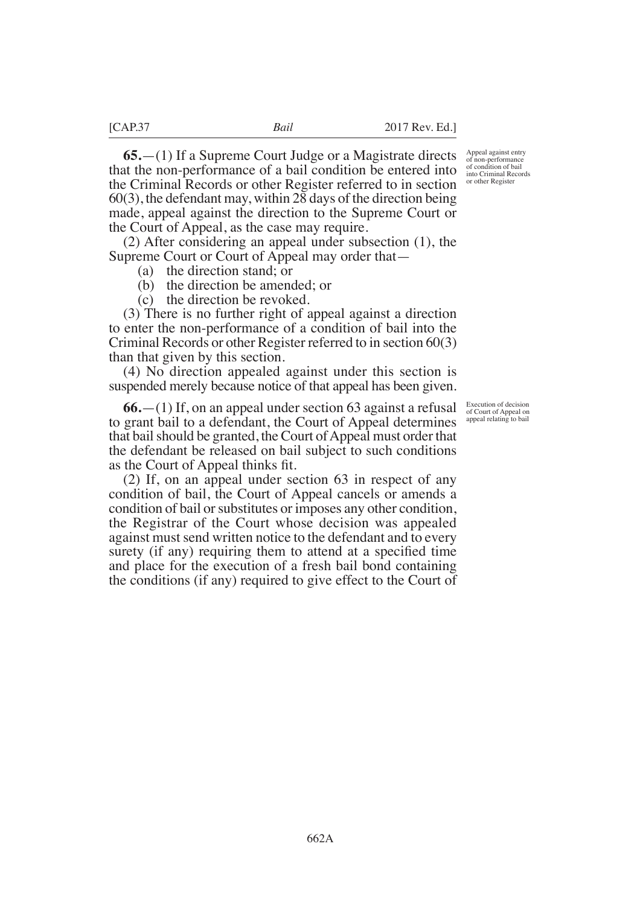**65.**—(1) If a Supreme Court Judge or a Magistrate directs that the non-performance of a bail condition be entered into the Criminal Records or other Register referred to in section 60(3), the defendant may, within 28 days of the direction being made, appeal against the direction to the Supreme Court or the Court of Appeal, as the case may require.

(2) After considering an appeal under subsection (1), the Supreme Court or Court of Appeal may order that—

- (a) the direction stand; or
- (b) the direction be amended; or
- (c) the direction be revoked.

(3) There is no further right of appeal against a direction to enter the non-performance of a condition of bail into the Criminal Records or other Register referred to in section 60(3) than that given by this section.

(4) No direction appealed against under this section is suspended merely because notice of that appeal has been given.

**66.**—(1) If, on an appeal under section 63 against a refusal to grant bail to a defendant, the Court of Appeal determines that bail should be granted, the Court of Appeal must order that the defendant be released on bail subject to such conditions as the Court of Appeal thinks fit.

(2) If, on an appeal under section 63 in respect of any condition of bail, the Court of Appeal cancels or amends a condition of bail or substitutes or imposes any other condition, the Registrar of the Court whose decision was appealed against must send written notice to the defendant and to every surety (if any) requiring them to attend at a specified time and place for the execution of a fresh bail bond containing the conditions (if any) required to give effect to the Court of

Appeal against entry of non-performance of condition of bail into Criminal Records or other Register

Execution of decision of Court of Appeal on appeal relating to bail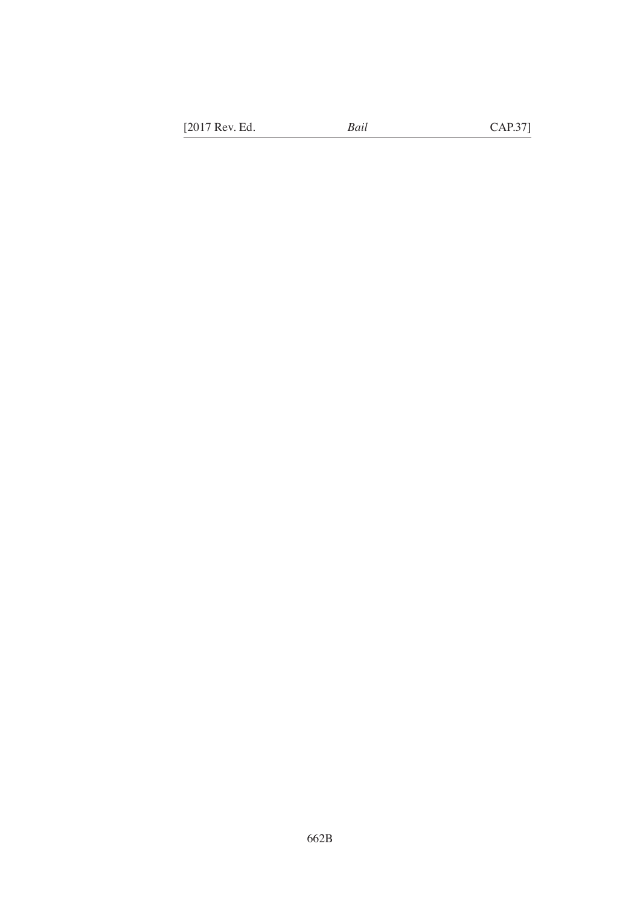[2017 Rev. Ed. *Bail* CAP.37]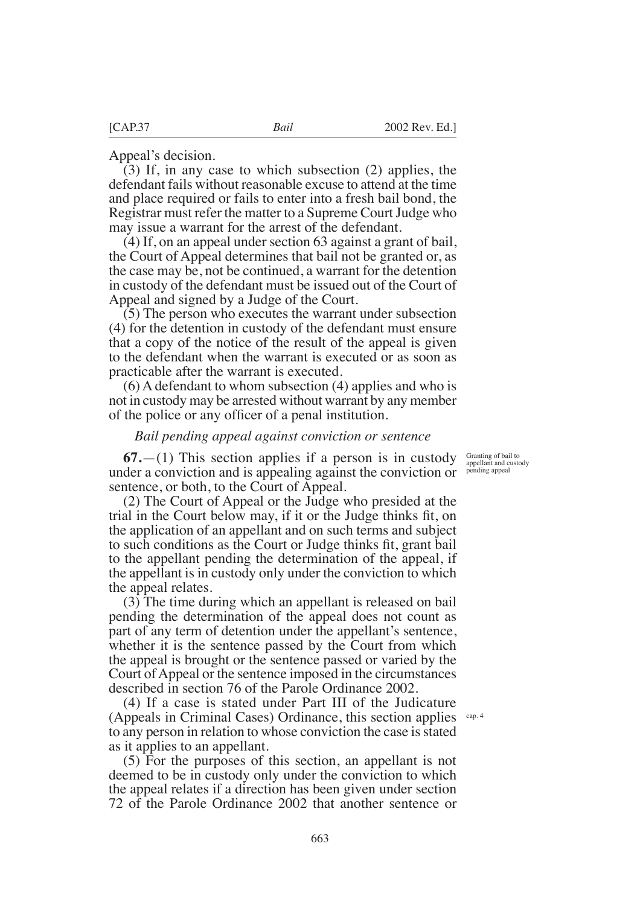## Appeal's decision.

(3) If, in any case to which subsection (2) applies, the defendant fails without reasonable excuse to attend at the time and place required or fails to enter into a fresh bail bond, the Registrar must refer the matter to a Supreme Court Judge who may issue a warrant for the arrest of the defendant.

(4) If, on an appeal under section 63 against a grant of bail, the Court of Appeal determines that bail not be granted or, as the case may be, not be continued, a warrant for the detention in custody of the defendant must be issued out of the Court of Appeal and signed by a Judge of the Court.

(5) The person who executes the warrant under subsection (4) for the detention in custody of the defendant must ensure that a copy of the notice of the result of the appeal is given to the defendant when the warrant is executed or as soon as practicable after the warrant is executed.

(6) A defendant to whom subsection (4) applies and who is not in custody may be arrested without warrant by any member of the police or any officer of a penal institution.

#### *Bail pending appeal against conviction or sentence*

**67.**—(1) This section applies if a person is in custody under a conviction and is appealing against the conviction or sentence, or both, to the Court of Appeal.

(2) The Court of Appeal or the Judge who presided at the trial in the Court below may, if it or the Judge thinks fit, on the application of an appellant and on such terms and subject to such conditions as the Court or Judge thinks fit, grant bail to the appellant pending the determination of the appeal, if the appellant is in custody only under the conviction to which the appeal relates.

(3) The time during which an appellant is released on bail pending the determination of the appeal does not count as part of any term of detention under the appellant's sentence, whether it is the sentence passed by the Court from which the appeal is brought or the sentence passed or varied by the Court of Appeal or the sentence imposed in the circumstances described in section 76 of the Parole Ordinance 2002.

(4) If a case is stated under Part III of the Judicature (Appeals in Criminal Cases) Ordinance, this section applies to any person in relation to whose conviction the case is stated as it applies to an appellant.

(5) For the purposes of this section, an appellant is not deemed to be in custody only under the conviction to which the appeal relates if a direction has been given under section 72 of the Parole Ordinance 2002 that another sentence or

Granting of bail to appellant and custody pending appeal

cap. 4